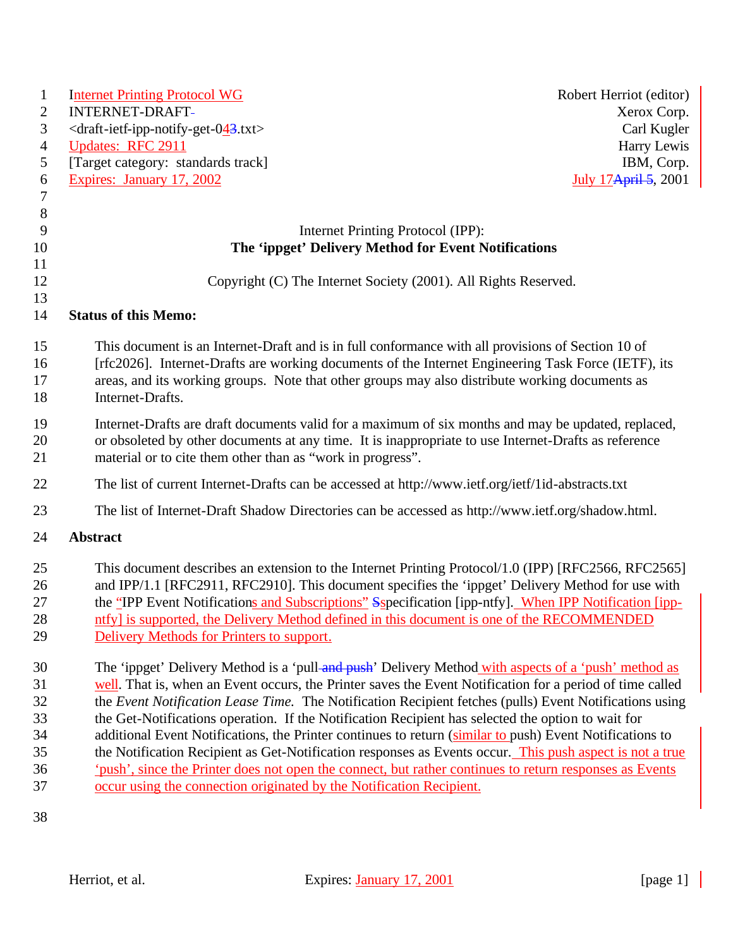| $\mathbf{1}$                                       | <b>Internet Printing Protocol WG</b>                                                                                                                                                                                                                                                                                                                                                                                                                                                                                                                                                                                                                                                                                                                                                                                                          | Robert Herriot (editor) |
|----------------------------------------------------|-----------------------------------------------------------------------------------------------------------------------------------------------------------------------------------------------------------------------------------------------------------------------------------------------------------------------------------------------------------------------------------------------------------------------------------------------------------------------------------------------------------------------------------------------------------------------------------------------------------------------------------------------------------------------------------------------------------------------------------------------------------------------------------------------------------------------------------------------|-------------------------|
| $\overline{2}$                                     | <b>INTERNET-DRAFT-</b>                                                                                                                                                                                                                                                                                                                                                                                                                                                                                                                                                                                                                                                                                                                                                                                                                        | Xerox Corp.             |
| 3                                                  | $\langle$ draft-ietf-ipp-notify-get-043.txt>                                                                                                                                                                                                                                                                                                                                                                                                                                                                                                                                                                                                                                                                                                                                                                                                  | Carl Kugler             |
| $\overline{4}$                                     | <b>Updates: RFC 2911</b>                                                                                                                                                                                                                                                                                                                                                                                                                                                                                                                                                                                                                                                                                                                                                                                                                      | Harry Lewis             |
| 5                                                  | [Target category: standards track]                                                                                                                                                                                                                                                                                                                                                                                                                                                                                                                                                                                                                                                                                                                                                                                                            | IBM, Corp.              |
| 6                                                  | Expires: January 17, 2002                                                                                                                                                                                                                                                                                                                                                                                                                                                                                                                                                                                                                                                                                                                                                                                                                     | July 17 April 5, 2001   |
| $\tau$                                             |                                                                                                                                                                                                                                                                                                                                                                                                                                                                                                                                                                                                                                                                                                                                                                                                                                               |                         |
| $\, 8$                                             |                                                                                                                                                                                                                                                                                                                                                                                                                                                                                                                                                                                                                                                                                                                                                                                                                                               |                         |
| 9                                                  | Internet Printing Protocol (IPP):                                                                                                                                                                                                                                                                                                                                                                                                                                                                                                                                                                                                                                                                                                                                                                                                             |                         |
| 10                                                 | The 'ippget' Delivery Method for Event Notifications                                                                                                                                                                                                                                                                                                                                                                                                                                                                                                                                                                                                                                                                                                                                                                                          |                         |
| 11                                                 |                                                                                                                                                                                                                                                                                                                                                                                                                                                                                                                                                                                                                                                                                                                                                                                                                                               |                         |
| 12                                                 | Copyright (C) The Internet Society (2001). All Rights Reserved.                                                                                                                                                                                                                                                                                                                                                                                                                                                                                                                                                                                                                                                                                                                                                                               |                         |
| 13                                                 |                                                                                                                                                                                                                                                                                                                                                                                                                                                                                                                                                                                                                                                                                                                                                                                                                                               |                         |
| 14                                                 | <b>Status of this Memo:</b>                                                                                                                                                                                                                                                                                                                                                                                                                                                                                                                                                                                                                                                                                                                                                                                                                   |                         |
| 15<br>16<br>17<br>18                               | This document is an Internet-Draft and is in full conformance with all provisions of Section 10 of<br>[rfc2026]. Internet-Drafts are working documents of the Internet Engineering Task Force (IETF), its<br>areas, and its working groups. Note that other groups may also distribute working documents as<br>Internet-Drafts.                                                                                                                                                                                                                                                                                                                                                                                                                                                                                                               |                         |
| 19<br>20<br>21                                     | Internet-Drafts are draft documents valid for a maximum of six months and may be updated, replaced,<br>or obsoleted by other documents at any time. It is inappropriate to use Internet-Drafts as reference<br>material or to cite them other than as "work in progress".                                                                                                                                                                                                                                                                                                                                                                                                                                                                                                                                                                     |                         |
| 22                                                 | The list of current Internet-Drafts can be accessed at http://www.ietf.org/ietf/1id-abstracts.txt                                                                                                                                                                                                                                                                                                                                                                                                                                                                                                                                                                                                                                                                                                                                             |                         |
| 23                                                 | The list of Internet-Draft Shadow Directories can be accessed as http://www.ietf.org/shadow.html.                                                                                                                                                                                                                                                                                                                                                                                                                                                                                                                                                                                                                                                                                                                                             |                         |
| 24                                                 | <b>Abstract</b>                                                                                                                                                                                                                                                                                                                                                                                                                                                                                                                                                                                                                                                                                                                                                                                                                               |                         |
| 25<br>26<br>27<br>28<br>29                         | This document describes an extension to the Internet Printing Protocol/1.0 (IPP) [RFC2566, RFC2565]<br>and IPP/1.1 [RFC2911, RFC2910]. This document specifies the 'ippget' Delivery Method for use with<br>the "IPP Event Notifications and Subscriptions" Sspecification [ipp-ntfy]. When IPP Notification [ipp-<br>ntfy] is supported, the Delivery Method defined in this document is one of the RECOMMENDED<br>Delivery Methods for Printers to support.                                                                                                                                                                                                                                                                                                                                                                                 |                         |
| 30<br>31<br>32<br>33<br>34<br>35<br>36<br>37<br>38 | The 'ippget' Delivery Method is a 'pull-and-push' Delivery Method with aspects of a 'push' method as<br>well. That is, when an Event occurs, the Printer saves the Event Notification for a period of time called<br>the Event Notification Lease Time. The Notification Recipient fetches (pulls) Event Notifications using<br>the Get-Notifications operation. If the Notification Recipient has selected the option to wait for<br>additional Event Notifications, the Printer continues to return (similar to push) Event Notifications to<br>the Notification Recipient as Get-Notification responses as Events occur. This push aspect is not a true<br>'push', since the Printer does not open the connect, but rather continues to return responses as Events<br>occur using the connection originated by the Notification Recipient. |                         |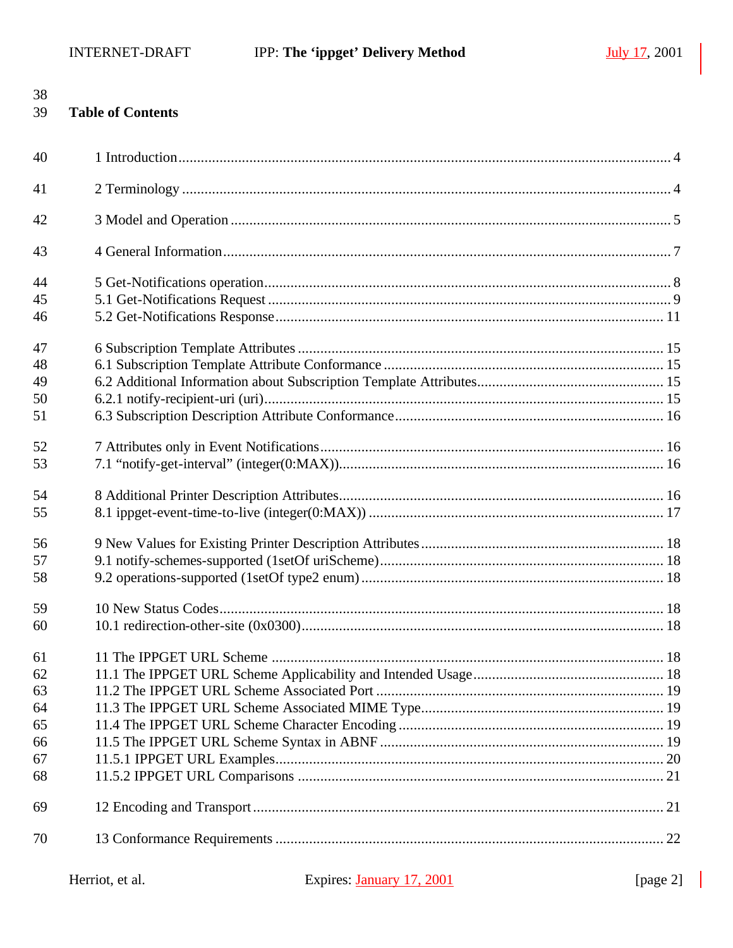38

| 39 | <b>Table of Contents</b> |  |
|----|--------------------------|--|
| 40 |                          |  |
| 41 |                          |  |
| 42 |                          |  |
| 43 |                          |  |
| 44 |                          |  |
| 45 |                          |  |
| 46 |                          |  |
| 47 |                          |  |
| 48 |                          |  |
| 49 |                          |  |
| 50 |                          |  |
| 51 |                          |  |
| 52 |                          |  |
| 53 |                          |  |
| 54 |                          |  |
| 55 |                          |  |
| 56 |                          |  |
| 57 |                          |  |
| 58 |                          |  |
| 59 |                          |  |
| 60 |                          |  |
| 61 |                          |  |
| 62 |                          |  |
| 63 |                          |  |
| 64 |                          |  |
| 65 |                          |  |
| 66 |                          |  |
| 67 |                          |  |
| 68 |                          |  |
| 69 |                          |  |
| 70 |                          |  |
|    |                          |  |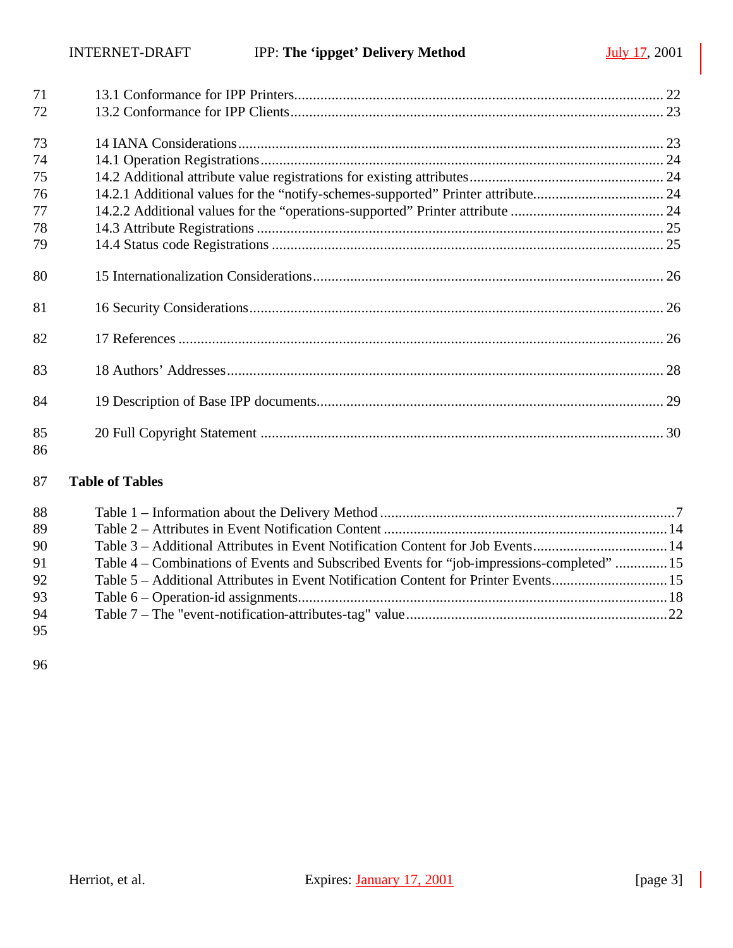| 71       |                                                                                  |  |
|----------|----------------------------------------------------------------------------------|--|
| 72       |                                                                                  |  |
| 73       |                                                                                  |  |
| 74       |                                                                                  |  |
| 75       |                                                                                  |  |
| 76       | 14.2.1 Additional values for the "notify-schemes-supported" Printer attribute 24 |  |
| 77       |                                                                                  |  |
| 78       |                                                                                  |  |
| 79       |                                                                                  |  |
| 80       |                                                                                  |  |
| 81       |                                                                                  |  |
| 82       |                                                                                  |  |
| 83       |                                                                                  |  |
| 84       |                                                                                  |  |
| 85<br>86 |                                                                                  |  |

## **Table of Tables**

| 88 |                                                                                            |  |
|----|--------------------------------------------------------------------------------------------|--|
| 89 |                                                                                            |  |
| 90 | Table 3 – Additional Attributes in Event Notification Content for Job Events14             |  |
| 91 | Table 4 – Combinations of Events and Subscribed Events for "job-impressions-completed"  15 |  |
| 92 | Table 5 – Additional Attributes in Event Notification Content for Printer Events15         |  |
| 93 |                                                                                            |  |
| 94 |                                                                                            |  |
| 95 |                                                                                            |  |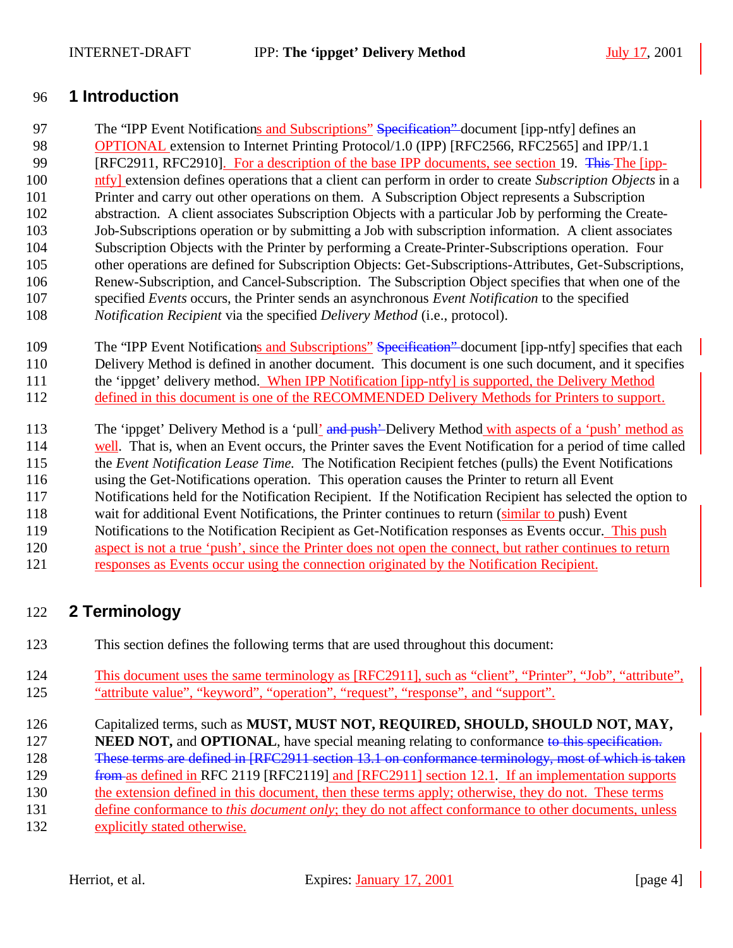## **1 Introduction**

97 The "IPP Event Notifications and Subscriptions" Specification" document [ipp-ntfy] defines an **OPTIONAL** extension to Internet Printing Protocol/1.0 (IPP) [RFC2566, RFC2565] and IPP/1.1 99 [RFC2911, RFC2910]. For a description of the base IPP documents, see section 19. This The [ipp- ntfy] extension defines operations that a client can perform in order to create *Subscription Objects* in a Printer and carry out other operations on them. A Subscription Object represents a Subscription abstraction. A client associates Subscription Objects with a particular Job by performing the Create- Job-Subscriptions operation or by submitting a Job with subscription information. A client associates Subscription Objects with the Printer by performing a Create-Printer-Subscriptions operation. Four other operations are defined for Subscription Objects: Get-Subscriptions-Attributes, Get-Subscriptions, Renew-Subscription, and Cancel-Subscription. The Subscription Object specifies that when one of the specified *Events* occurs, the Printer sends an asynchronous *Event Notification* to the specified *Notification Recipient* via the specified *Delivery Method* (i.e., protocol).

109 The "IPP Event Notifications and Subscriptions" Specification" document [ipp-ntfy] specifies that each Delivery Method is defined in another document. This document is one such document, and it specifies 111 the 'ippget' delivery method. When IPP Notification [ipp-ntfy] is supported, the Delivery Method 112 defined in this document is one of the RECOMMENDED Delivery Methods for Printers to support.

113 The 'ippget' Delivery Method is a 'pull' and push'-Delivery Method with aspects of a 'push' method as

114 well. That is, when an Event occurs, the Printer saves the Event Notification for a period of time called

the *Event Notification Lease Time.* The Notification Recipient fetches (pulls) the Event Notifications

using the Get-Notifications operation. This operation causes the Printer to return all Event

Notifications held for the Notification Recipient. If the Notification Recipient has selected the option to

118 wait for additional Event Notifications, the Printer continues to return (similar to push) Event

Notifications to the Notification Recipient as Get-Notification responses as Events occur. This push

aspect is not a true 'push', since the Printer does not open the connect, but rather continues to return

responses as Events occur using the connection originated by the Notification Recipient.

## **2 Terminology**

This section defines the following terms that are used throughout this document:

 This document uses the same terminology as [RFC2911], such as "client", "Printer", "Job", "attribute", "attribute value", "keyword", "operation", "request", "response", and "support".

Capitalized terms, such as **MUST, MUST NOT, REQUIRED, SHOULD, SHOULD NOT, MAY,** 

**NEED NOT, and OPTIONAL**, have special meaning relating to conformance to this specification.

These terms are defined in [RFC2911 section 13.1 on conformance terminology, most of which is taken

129 from as defined in RFC 2119 [RFC2119] and [RFC2911] section 12.1. If an implementation supports

the extension defined in this document, then these terms apply; otherwise, they do not. These terms

define conformance to *this document only*; they do not affect conformance to other documents, unless

explicitly stated otherwise.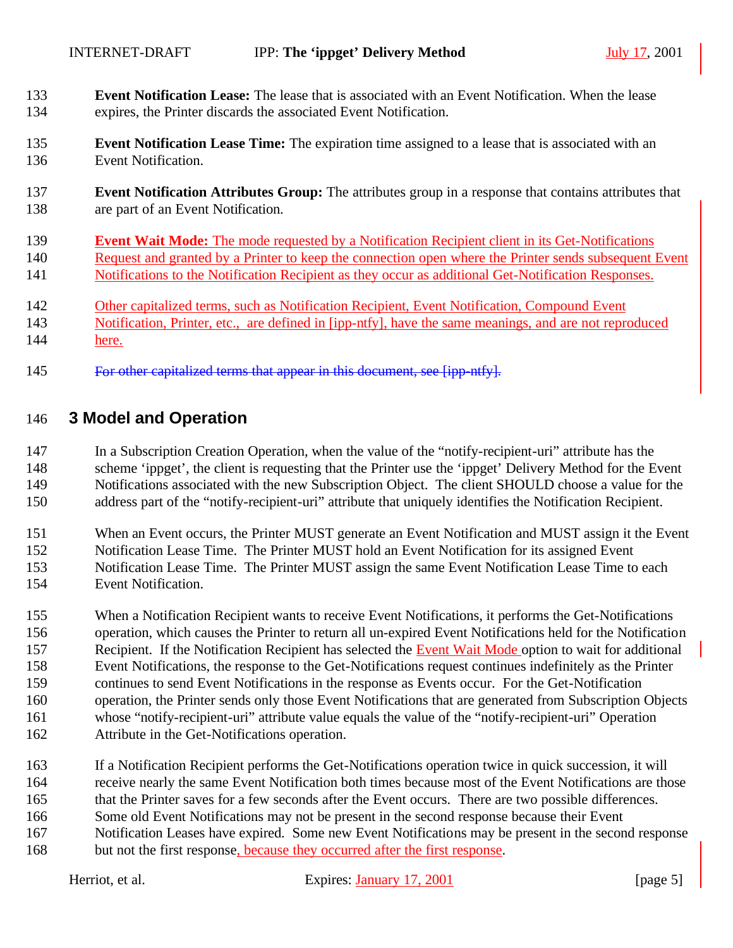- **Event Notification Lease:** The lease that is associated with an Event Notification. When the lease expires, the Printer discards the associated Event Notification.
- **Event Notification Lease Time:** The expiration time assigned to a lease that is associated with an Event Notification.
- **Event Notification Attributes Group:** The attributes group in a response that contains attributes that are part of an Event Notification.
- **Event Wait Mode:** The mode requested by a Notification Recipient client in its Get-Notifications Request and granted by a Printer to keep the connection open where the Printer sends subsequent Event Notifications to the Notification Recipient as they occur as additional Get-Notification Responses.
- Other capitalized terms, such as Notification Recipient, Event Notification, Compound Event
- Notification, Printer, etc., are defined in [ipp-ntfy], have the same meanings, and are not reproduced here.
- For other capitalized terms that appear in this document, see [ipp-ntfy].

## **3 Model and Operation**

 In a Subscription Creation Operation, when the value of the "notify-recipient-uri" attribute has the scheme 'ippget', the client is requesting that the Printer use the 'ippget' Delivery Method for the Event Notifications associated with the new Subscription Object. The client SHOULD choose a value for the address part of the "notify-recipient-uri" attribute that uniquely identifies the Notification Recipient.

- When an Event occurs, the Printer MUST generate an Event Notification and MUST assign it the Event Notification Lease Time. The Printer MUST hold an Event Notification for its assigned Event Notification Lease Time. The Printer MUST assign the same Event Notification Lease Time to each
- Event Notification.
- When a Notification Recipient wants to receive Event Notifications, it performs the Get-Notifications operation, which causes the Printer to return all un-expired Event Notifications held for the Notification 157 Recipient. If the Notification Recipient has selected the Event Wait Mode option to wait for additional Event Notifications, the response to the Get-Notifications request continues indefinitely as the Printer continues to send Event Notifications in the response as Events occur. For the Get-Notification operation, the Printer sends only those Event Notifications that are generated from Subscription Objects whose "notify-recipient-uri" attribute value equals the value of the "notify-recipient-uri" Operation Attribute in the Get-Notifications operation.
- If a Notification Recipient performs the Get-Notifications operation twice in quick succession, it will
- receive nearly the same Event Notification both times because most of the Event Notifications are those
- that the Printer saves for a few seconds after the Event occurs. There are two possible differences. Some old Event Notifications may not be present in the second response because their Event
- 
- Notification Leases have expired. Some new Event Notifications may be present in the second response
- but not the first response, because they occurred after the first response.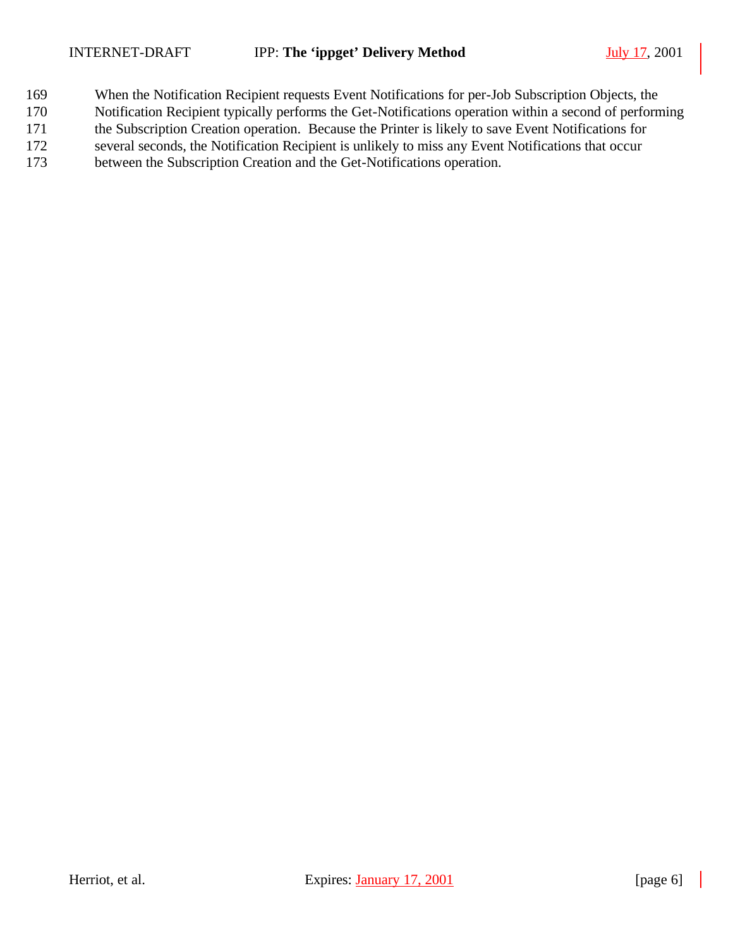- When the Notification Recipient requests Event Notifications for per-Job Subscription Objects, the
- Notification Recipient typically performs the Get-Notifications operation within a second of performing
- the Subscription Creation operation. Because the Printer is likely to save Event Notifications for several seconds, the Notification Recipient is unlikely to miss any Event Notifications that occur
- between the Subscription Creation and the Get-Notifications operation.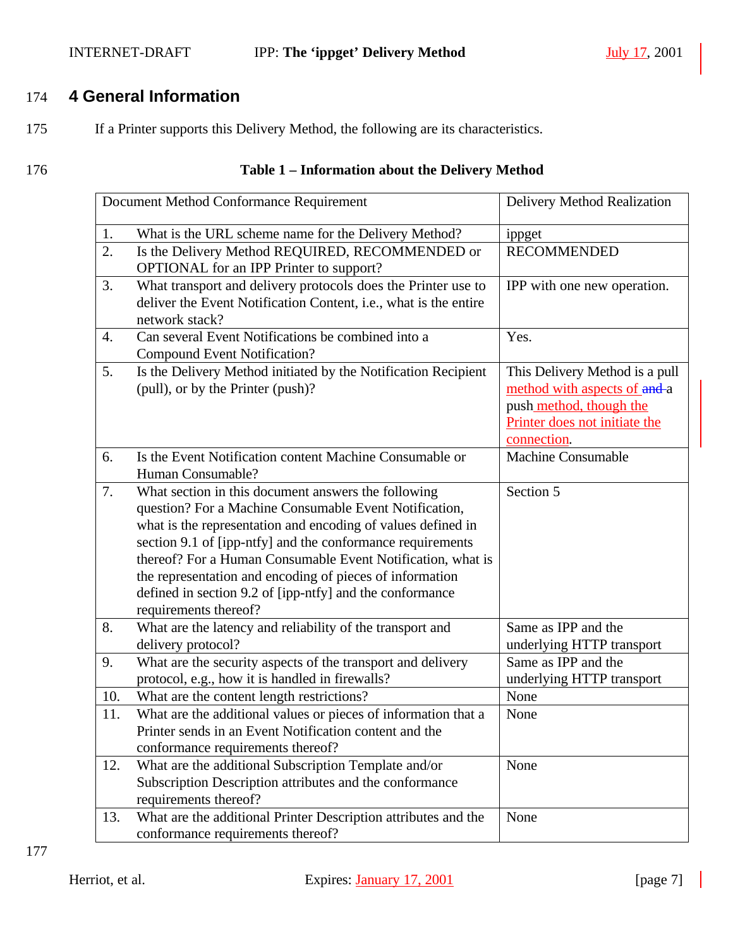#### INTERNET-DRAFT IPP: **The 'ippget' Delivery Method** July 17, 2001

## 174 **4 General Information**

- 175 If a Printer supports this Delivery Method, the following are its characteristics.
- 

## 176 **Table 1 – Information about the Delivery Method**

| Document Method Conformance Requirement |                                                                                                                                                                                                                                                                                                                                                                                                                                                             | Delivery Method Realization                                                                                                               |
|-----------------------------------------|-------------------------------------------------------------------------------------------------------------------------------------------------------------------------------------------------------------------------------------------------------------------------------------------------------------------------------------------------------------------------------------------------------------------------------------------------------------|-------------------------------------------------------------------------------------------------------------------------------------------|
| 1.                                      | What is the URL scheme name for the Delivery Method?                                                                                                                                                                                                                                                                                                                                                                                                        | ippget                                                                                                                                    |
| 2.                                      | Is the Delivery Method REQUIRED, RECOMMENDED or<br>OPTIONAL for an IPP Printer to support?                                                                                                                                                                                                                                                                                                                                                                  | <b>RECOMMENDED</b>                                                                                                                        |
| 3.                                      | What transport and delivery protocols does the Printer use to<br>deliver the Event Notification Content, i.e., what is the entire<br>network stack?                                                                                                                                                                                                                                                                                                         | IPP with one new operation.                                                                                                               |
| 4.                                      | Can several Event Notifications be combined into a<br><b>Compound Event Notification?</b>                                                                                                                                                                                                                                                                                                                                                                   | Yes.                                                                                                                                      |
| 5.                                      | Is the Delivery Method initiated by the Notification Recipient<br>(pull), or by the Printer (push)?                                                                                                                                                                                                                                                                                                                                                         | This Delivery Method is a pull<br>method with aspects of and-a<br>push method, though the<br>Printer does not initiate the<br>connection. |
| 6.                                      | Is the Event Notification content Machine Consumable or<br>Human Consumable?                                                                                                                                                                                                                                                                                                                                                                                | <b>Machine Consumable</b>                                                                                                                 |
| 7.                                      | What section in this document answers the following<br>question? For a Machine Consumable Event Notification,<br>what is the representation and encoding of values defined in<br>section 9.1 of [ipp-ntfy] and the conformance requirements<br>thereof? For a Human Consumable Event Notification, what is<br>the representation and encoding of pieces of information<br>defined in section 9.2 of [ipp-ntfy] and the conformance<br>requirements thereof? | Section 5                                                                                                                                 |
| 8.                                      | What are the latency and reliability of the transport and<br>delivery protocol?                                                                                                                                                                                                                                                                                                                                                                             | Same as IPP and the<br>underlying HTTP transport                                                                                          |
| 9.                                      | What are the security aspects of the transport and delivery<br>protocol, e.g., how it is handled in firewalls?                                                                                                                                                                                                                                                                                                                                              | Same as IPP and the<br>underlying HTTP transport                                                                                          |
| 10.                                     | What are the content length restrictions?                                                                                                                                                                                                                                                                                                                                                                                                                   | None                                                                                                                                      |
| 11.                                     | What are the additional values or pieces of information that a<br>Printer sends in an Event Notification content and the<br>conformance requirements thereof?                                                                                                                                                                                                                                                                                               | None                                                                                                                                      |
| 12.                                     | What are the additional Subscription Template and/or<br>Subscription Description attributes and the conformance<br>requirements thereof?                                                                                                                                                                                                                                                                                                                    | None                                                                                                                                      |
| 13.                                     | What are the additional Printer Description attributes and the<br>conformance requirements thereof?                                                                                                                                                                                                                                                                                                                                                         | None                                                                                                                                      |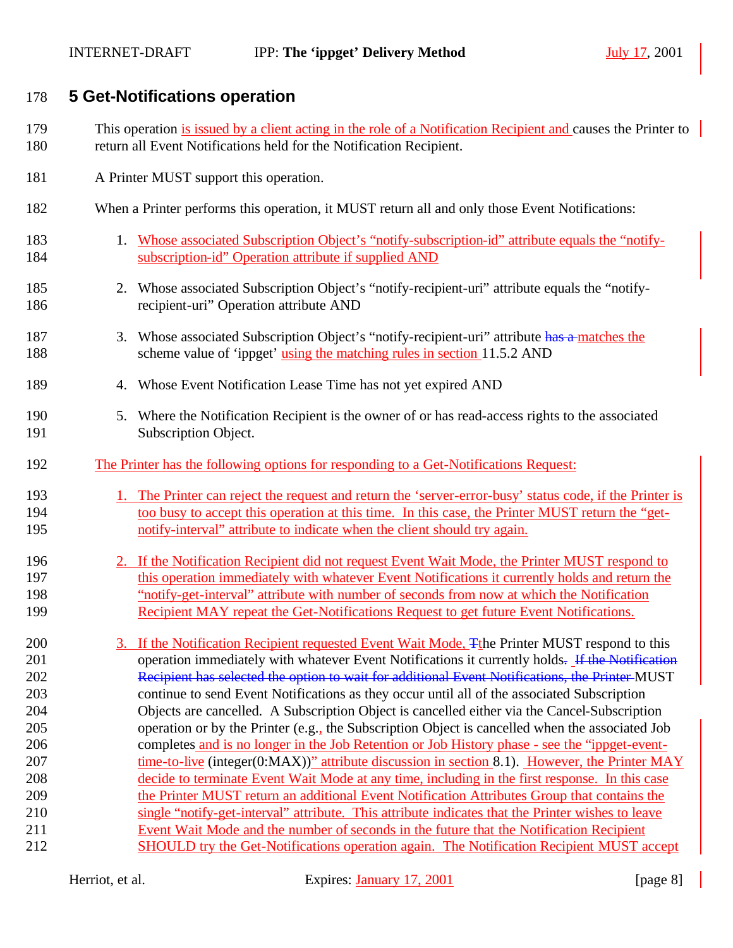## **5 Get-Notifications operation**

- This operation is issued by a client acting in the role of a Notification Recipient and causes the Printer to return all Event Notifications held for the Notification Recipient.
- 181 A Printer MUST support this operation.
- When a Printer performs this operation, it MUST return all and only those Event Notifications:
- 1. Whose associated Subscription Object's "notify-subscription-id" attribute equals the "notify-subscription-id" Operation attribute if supplied AND
- 2. Whose associated Subscription Object's "notify-recipient-uri" attribute equals the "notify-recipient-uri" Operation attribute AND
- 187 3. Whose associated Subscription Object's "notify-recipient-uri" attribute has a matches the 188 scheme value of 'ippget' using the matching rules in section 11.5.2 AND
- 4. Whose Event Notification Lease Time has not yet expired AND
- 5. Where the Notification Recipient is the owner of or has read-access rights to the associated Subscription Object.
- The Printer has the following options for responding to a Get-Notifications Request:
- 1. The Printer can reject the request and return the 'server-error-busy' status code, if the Printer is 194 too busy to accept this operation at this time. In this case, the Printer MUST return the "get-notify-interval" attribute to indicate when the client should try again.
- 2. If the Notification Recipient did not request Event Wait Mode, the Printer MUST respond to this operation immediately with whatever Event Notifications it currently holds and return the "notify-get-interval" attribute with number of seconds from now at which the Notification Recipient MAY repeat the Get-Notifications Request to get future Event Notifications.
- 3. If the Notification Recipient requested Event Wait Mode, Tthe Printer MUST respond to this 201 operation immediately with whatever Event Notifications it currently holds. If the Notification Recipient has selected the option to wait for additional Event Notifications, the Printer MUST continue to send Event Notifications as they occur until all of the associated Subscription Objects are cancelled. A Subscription Object is cancelled either via the Cancel-Subscription operation or by the Printer (e.g., the Subscription Object is cancelled when the associated Job completes and is no longer in the Job Retention or Job History phase - see the "ippget-event-207 time-to-live (integer(0:MAX))" attribute discussion in section 8.1). However, the Printer MAY decide to terminate Event Wait Mode at any time, including in the first response. In this case the Printer MUST return an additional Event Notification Attributes Group that contains the single "notify-get-interval" attribute. This attribute indicates that the Printer wishes to leave Event Wait Mode and the number of seconds in the future that the Notification Recipient SHOULD try the Get-Notifications operation again. The Notification Recipient MUST accept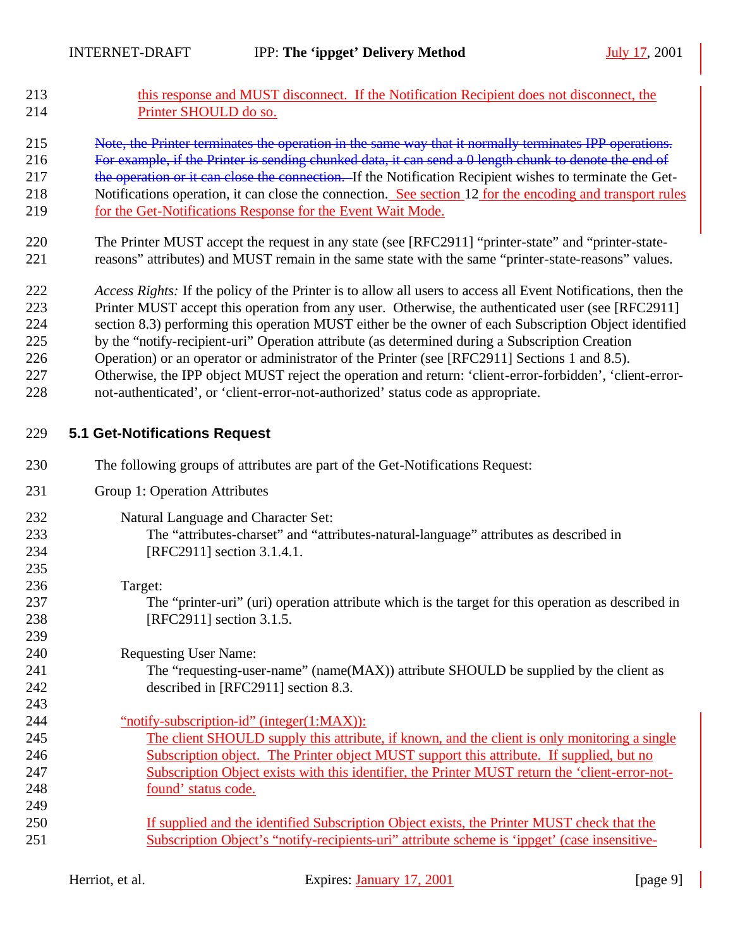- this response and MUST disconnect. If the Notification Recipient does not disconnect, the Printer SHOULD do so.
- Note, the Printer terminates the operation in the same way that it normally terminates IPP operations.
- For example, if the Printer is sending chunked data, it can send a 0 length chunk to denote the end of
- 217 the operation or it can close the connection. If the Notification Recipient wishes to terminate the Get-
- Notifications operation, it can close the connection. See section 12 for the encoding and transport rules for the Get-Notifications Response for the Event Wait Mode.
- The Printer MUST accept the request in any state (see [RFC2911] "printer-state" and "printer-state-reasons" attributes) and MUST remain in the same state with the same "printer-state-reasons" values.
- *Access Rights:* If the policy of the Printer is to allow all users to access all Event Notifications, then the Printer MUST accept this operation from any user. Otherwise, the authenticated user (see [RFC2911] section 8.3) performing this operation MUST either be the owner of each Subscription Object identified by the "notify-recipient-uri" Operation attribute (as determined during a Subscription Creation Operation) or an operator or administrator of the Printer (see [RFC2911] Sections 1 and 8.5).
- Otherwise, the IPP object MUST reject the operation and return: 'client-error-forbidden', 'client-error-
- not-authenticated', or 'client-error-not-authorized' status code as appropriate.

## **5.1 Get-Notifications Request**

- The following groups of attributes are part of the Get-Notifications Request:
- Group 1: Operation Attributes
- Natural Language and Character Set:
- The "attributes-charset" and "attributes-natural-language" attributes as described in [RFC2911] section 3.1.4.1.
- Target:

 The "printer-uri" (uri) operation attribute which is the target for this operation as described in [RFC2911] section 3.1.5.

- Requesting User Name:
- 241 The "requesting-user-name" (name(MAX)) attribute SHOULD be supplied by the client as described in [RFC2911] section 8.3.
- "notify-subscription-id" (integer(1:MAX)): The client SHOULD supply this attribute, if known, and the client is only monitoring a single
- Subscription object. The Printer object MUST support this attribute. If supplied, but no Subscription Object exists with this identifier, the Printer MUST return the 'client-error-not-found' status code.
- If supplied and the identified Subscription Object exists, the Printer MUST check that the Subscription Object's "notify-recipients-uri" attribute scheme is 'ippget' (case insensitive-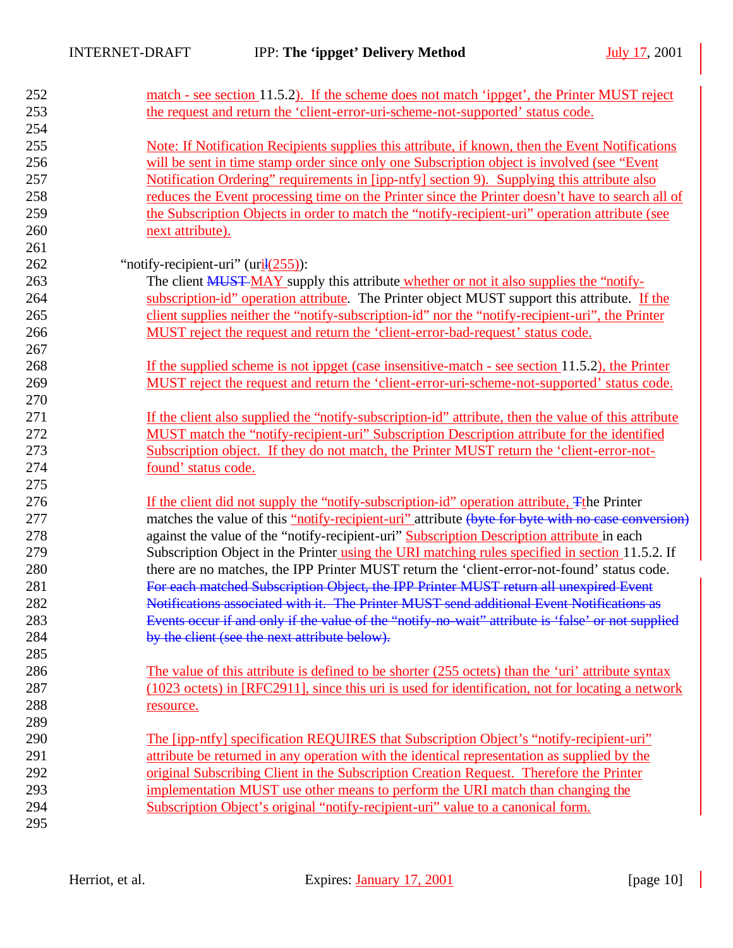| 252 | match - see section 11.5.2). If the scheme does not match 'ippget', the Printer MUST reject          |
|-----|------------------------------------------------------------------------------------------------------|
| 253 | the request and return the 'client-error-uri-scheme-not-supported' status code.                      |
| 254 |                                                                                                      |
| 255 | Note: If Notification Recipients supplies this attribute, if known, then the Event Notifications     |
| 256 | will be sent in time stamp order since only one Subscription object is involved (see "Event"         |
| 257 | Notification Ordering" requirements in [ipp-ntfy] section 9). Supplying this attribute also          |
| 258 | reduces the Event processing time on the Printer since the Printer doesn't have to search all of     |
| 259 | the Subscription Objects in order to match the "notify-recipient-uri" operation attribute (see       |
| 260 | next attribute).                                                                                     |
| 261 |                                                                                                      |
| 262 | "notify-recipient-uri" $(\pi i \frac{1(255)}{\pi})$ :                                                |
| 263 | The client <b>MUST MAY</b> supply this attribute whether or not it also supplies the "notify-        |
| 264 | subscription-id" operation attribute. The Printer object MUST support this attribute. If the         |
| 265 | client supplies neither the "notify-subscription-id" nor the "notify-recipient-uri", the Printer     |
| 266 | MUST reject the request and return the 'client-error-bad-request' status code.                       |
| 267 |                                                                                                      |
| 268 | If the supplied scheme is not ippget (case insensitive-match - see section 11.5.2), the Printer      |
| 269 | MUST reject the request and return the 'client-error-uri-scheme-not-supported' status code.          |
| 270 |                                                                                                      |
| 271 | If the client also supplied the "notify-subscription-id" attribute, then the value of this attribute |
| 272 | MUST match the "notify-recipient-uri" Subscription Description attribute for the identified          |
| 273 | Subscription object. If they do not match, the Printer MUST return the 'client-error-not-            |
| 274 | found' status code.                                                                                  |
| 275 |                                                                                                      |
| 276 | If the client did not supply the "notify-subscription-id" operation attribute, The Printer           |
| 277 | matches the value of this "notify-recipient-uri" attribute (byte for byte with no case conversion)   |
| 278 | against the value of the "notify-recipient-uri" Subscription Description attribute in each           |
| 279 | Subscription Object in the Printer using the URI matching rules specified in section 11.5.2. If      |
| 280 | there are no matches, the IPP Printer MUST return the 'client-error-not-found' status code.          |
| 281 | For each matched Subscription Object, the IPP Printer MUST return all unexpired Event                |
| 282 | Notifications associated with it. The Printer MUST send additional Event Notifications as            |
| 283 | Events occur if and only if the value of the "notify-no-wait" attribute is 'false' or not supplied   |
| 284 | by the client (see the next attribute below).                                                        |
| 285 |                                                                                                      |
| 286 | The value of this attribute is defined to be shorter (255 octets) than the 'uri' attribute syntax    |
| 287 | (1023 octets) in [RFC2911], since this uri is used for identification, not for locating a network    |
| 288 | resource.                                                                                            |
| 289 |                                                                                                      |
| 290 | The [ipp-ntfy] specification REQUIRES that Subscription Object's "notify-recipient-uri"              |
| 291 | attribute be returned in any operation with the identical representation as supplied by the          |
| 292 | original Subscribing Client in the Subscription Creation Request. Therefore the Printer              |
| 293 | implementation MUST use other means to perform the URI match than changing the                       |
| 294 | Subscription Object's original "notify-recipient-uri" value to a canonical form.                     |
| 295 |                                                                                                      |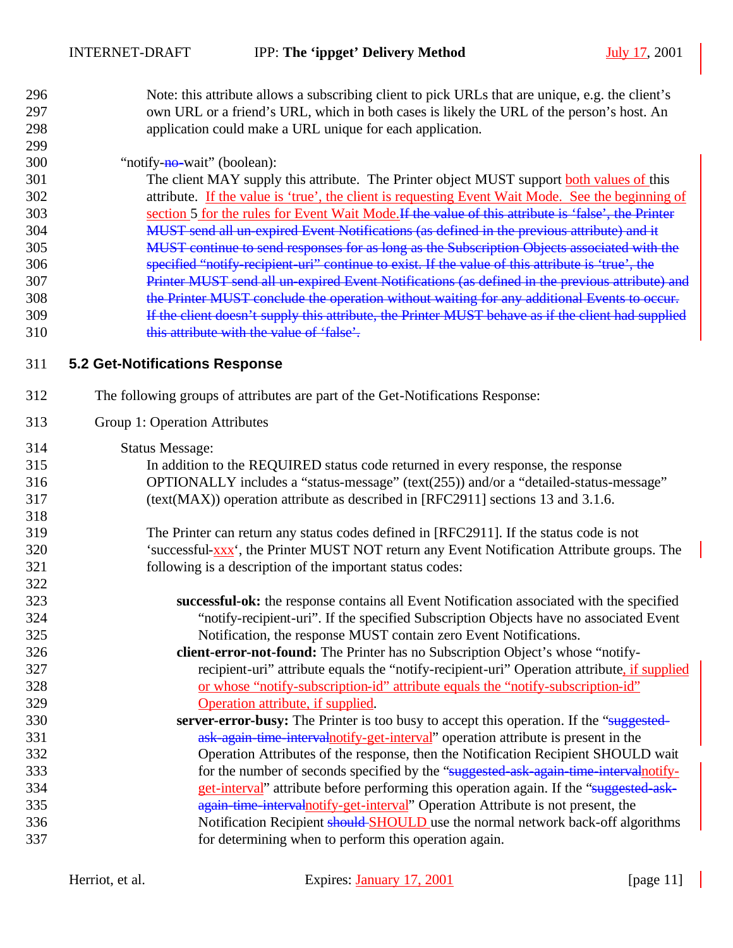| 296 | Note: this attribute allows a subscribing client to pick URLs that are unique, e.g. the client's |
|-----|--------------------------------------------------------------------------------------------------|
| 297 | own URL or a friend's URL, which in both cases is likely the URL of the person's host. An        |
| 298 | application could make a URL unique for each application.                                        |
| 299 |                                                                                                  |

#### 300 "notify-<del>no-</del>wait" (boolean):

 The client MAY supply this attribute. The Printer object MUST support both values of this attribute. If the value is 'true', the client is requesting Event Wait Mode. See the beginning of section 5 for the rules for Event Wait Mode.If the value of this attribute is 'false', the Printer MUST send all un-expired Event Notifications (as defined in the previous attribute) and it MUST continue to send responses for as long as the Subscription Objects associated with the specified "notify-recipient-uri" continue to exist. If the value of this attribute is 'true', the Printer MUST send all un-expired Event Notifications (as defined in the previous attribute) and the Printer MUST conclude the operation without waiting for any additional Events to occur. If the client doesn't supply this attribute, the Printer MUST behave as if the client had supplied this attribute with the value of 'false'.

#### **5.2 Get-Notifications Response**

- The following groups of attributes are part of the Get-Notifications Response:
- Group 1: Operation Attributes
- Status Message:

| 315 | In addition to the REQUIRED status code returned in every response, the response            |
|-----|---------------------------------------------------------------------------------------------|
| 316 | OPTIONALLY includes a "status-message" (text(255)) and/or a "detailed-status-message"       |
| 317 | (text(MAX)) operation attribute as described in [RFC2911] sections 13 and 3.1.6.            |
| 318 |                                                                                             |
| 319 | The Printer can return any status codes defined in [RFC2911]. If the status code is not     |
| 320 | 'successful-xxx', the Printer MUST NOT return any Event Notification Attribute groups. The  |
| 321 | following is a description of the important status codes:                                   |
| 322 |                                                                                             |
| 323 | successful-ok: the response contains all Event Notification associated with the specified   |
| 324 | "notify-recipient-uri". If the specified Subscription Objects have no associated Event      |
| 325 | Notification, the response MUST contain zero Event Notifications.                           |
| 326 | <b>client-error-not-found:</b> The Printer has no Subscription Object's whose "notify-      |
| 327 | recipient-uri" attribute equals the "notify-recipient-uri" Operation attribute, if supplied |
| 328 | or whose "notify-subscription-id" attribute equals the "notify-subscription-id"             |
| 329 | Operation attribute, if supplied.                                                           |
| 330 | server-error-busy: The Printer is too busy to accept this operation. If the "suggested-     |
| 331 | ask-again-time-intervalnotify-get-interval" operation attribute is present in the           |
| 332 | Operation Attributes of the response, then the Notification Recipient SHOULD wait           |
| 333 | for the number of seconds specified by the "suggested-ask-again-time-intervalnotify-        |
| 334 | get-interval" attribute before performing this operation again. If the "suggested ask-      |
| 335 | again-time-intervalnotify-get-interval" Operation Attribute is not present, the             |
| 336 | Notification Recipient should SHOULD use the normal network back-off algorithms             |
| 337 | for determining when to perform this operation again.                                       |
|     |                                                                                             |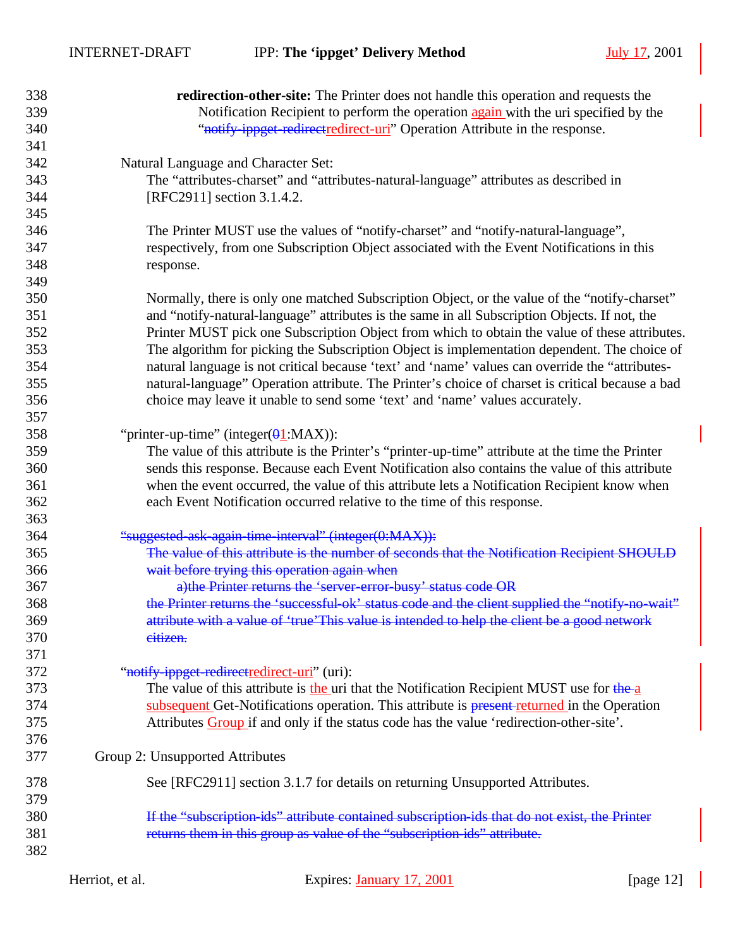| 338 | <b>redirection-other-site:</b> The Printer does not handle this operation and requests the         |
|-----|----------------------------------------------------------------------------------------------------|
| 339 | Notification Recipient to perform the operation again with the uri specified by the                |
| 340 | "notify ippget redirect redirect-uri" Operation Attribute in the response.                         |
| 341 |                                                                                                    |
| 342 | Natural Language and Character Set:                                                                |
| 343 | The "attributes-charset" and "attributes-natural-language" attributes as described in              |
| 344 | [RFC2911] section 3.1.4.2.                                                                         |
| 345 |                                                                                                    |
| 346 | The Printer MUST use the values of "notify-charset" and "notify-natural-language",                 |
| 347 | respectively, from one Subscription Object associated with the Event Notifications in this         |
| 348 | response.                                                                                          |
| 349 |                                                                                                    |
| 350 | Normally, there is only one matched Subscription Object, or the value of the "notify-charset"      |
| 351 | and "notify-natural-language" attributes is the same in all Subscription Objects. If not, the      |
| 352 | Printer MUST pick one Subscription Object from which to obtain the value of these attributes.      |
| 353 | The algorithm for picking the Subscription Object is implementation dependent. The choice of       |
| 354 | natural language is not critical because 'text' and 'name' values can override the "attributes-    |
| 355 | natural-language" Operation attribute. The Printer's choice of charset is critical because a bad   |
| 356 | choice may leave it unable to send some 'text' and 'name' values accurately.                       |
| 357 |                                                                                                    |
| 358 | "printer-up-time" (integer( $\theta$ 1:MAX)):                                                      |
| 359 | The value of this attribute is the Printer's "printer-up-time" attribute at the time the Printer   |
| 360 | sends this response. Because each Event Notification also contains the value of this attribute     |
| 361 | when the event occurred, the value of this attribute lets a Notification Recipient know when       |
| 362 | each Event Notification occurred relative to the time of this response.                            |
| 363 |                                                                                                    |
| 364 | "suggested ask again time interval" (integer(0:MAX)):                                              |
| 365 | The value of this attribute is the number of seconds that the Notification Recipient SHOULD        |
| 366 | wait before trying this operation again when                                                       |
| 367 | a) the Printer returns the 'server-error-busy' status code OR                                      |
| 368 | the Printer returns the 'successful-ok' status code and the client supplied the "notify-no-wait"   |
| 369 | attribute with a value of 'true'This value is intended to help the client be a good network        |
| 370 | eitizen.                                                                                           |
| 371 |                                                                                                    |
| 372 | "notify-ippget-redirectredirect-uri" (uri):                                                        |
| 373 | The value of this attribute is the uri that the Notification Recipient MUST use for the $a$        |
| 374 | subsequent Get-Notifications operation. This attribute is <b>present returned</b> in the Operation |
| 375 | Attributes Group if and only if the status code has the value 'redirection-other-site'.            |
| 376 |                                                                                                    |
| 377 | Group 2: Unsupported Attributes                                                                    |
| 378 | See [RFC2911] section 3.1.7 for details on returning Unsupported Attributes.                       |
| 379 |                                                                                                    |
| 380 | If the "subscription-ids" attribute contained subscription-ids that do not exist, the Printer      |
| 381 | returns them in this group as value of the "subscription-ids" attribute.                           |
| 382 |                                                                                                    |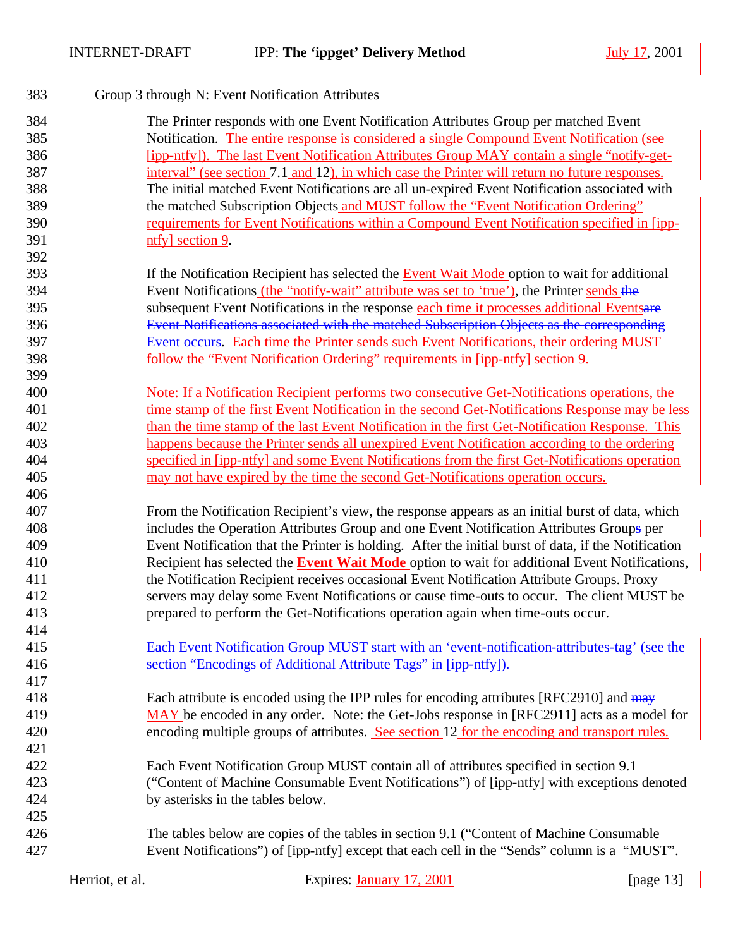| 383 | Group 3 through N: Event Notification Attributes                                                     |
|-----|------------------------------------------------------------------------------------------------------|
| 384 | The Printer responds with one Event Notification Attributes Group per matched Event                  |
| 385 | Notification. The entire response is considered a single Compound Event Notification (see            |
| 386 | <u>[ipp-ntfy]). The last Event Notification Attributes Group MAY contain a single "notify-get-</u>   |
| 387 | interval" (see section 7.1 and 12), in which case the Printer will return no future responses.       |
| 388 | The initial matched Event Notifications are all un-expired Event Notification associated with        |
| 389 | the matched Subscription Objects and MUST follow the "Event Notification Ordering"                   |
| 390 | requirements for Event Notifications within a Compound Event Notification specified in [ipp-         |
| 391 | ntfy] section 9.                                                                                     |
| 392 |                                                                                                      |
| 393 | If the Notification Recipient has selected the Event Wait Mode option to wait for additional         |
| 394 | Event Notifications (the "notify-wait" attribute was set to 'true'), the Printer sends the           |
| 395 | subsequent Event Notifications in the response each time it processes additional Eventsare           |
| 396 | Event Notifications associated with the matched Subscription Objects as the corresponding            |
| 397 | Event occurs. Each time the Printer sends such Event Notifications, their ordering MUST              |
| 398 | <u>follow the "Event Notification Ordering" requirements in [ipp-ntfy] section 9.</u>                |
| 399 |                                                                                                      |
| 400 | Note: If a Notification Recipient performs two consecutive Get-Notifications operations, the         |
| 401 | time stamp of the first Event Notification in the second Get-Notifications Response may be less      |
| 402 | than the time stamp of the last Event Notification in the first Get-Notification Response. This      |
| 403 | happens because the Printer sends all unexpired Event Notification according to the ordering         |
| 404 | specified in [ipp-ntfy] and some Event Notifications from the first Get-Notifications operation      |
| 405 | may not have expired by the time the second Get-Notifications operation occurs.                      |
| 406 |                                                                                                      |
| 407 | From the Notification Recipient's view, the response appears as an initial burst of data, which      |
| 408 | includes the Operation Attributes Group and one Event Notification Attributes Groups per             |
| 409 | Event Notification that the Printer is holding. After the initial burst of data, if the Notification |
| 410 | Recipient has selected the <b>Event Wait Mode</b> option to wait for additional Event Notifications, |
| 411 | the Notification Recipient receives occasional Event Notification Attribute Groups. Proxy            |
| 412 | servers may delay some Event Notifications or cause time-outs to occur. The client MUST be           |
| 413 | prepared to perform the Get-Notifications operation again when time-outs occur.                      |
| 414 |                                                                                                      |
| 415 | Each Event Notification Group MUST start with an 'event-notification-attributes-tag' (see the        |
| 416 | section "Encodings of Additional Attribute Tags" in [ipp-ntfy]).                                     |
| 417 |                                                                                                      |
| 418 | Each attribute is encoded using the IPP rules for encoding attributes [RFC2910] and may              |
| 419 | MAY be encoded in any order. Note: the Get-Jobs response in [RFC2911] acts as a model for            |
| 420 | encoding multiple groups of attributes. See section 12 for the encoding and transport rules.         |
| 421 |                                                                                                      |
| 422 | Each Event Notification Group MUST contain all of attributes specified in section 9.1                |
| 423 | ("Content of Machine Consumable Event Notifications") of [ipp-ntfy] with exceptions denoted          |
| 424 | by asterisks in the tables below.                                                                    |
| 425 |                                                                                                      |
| 426 | The tables below are copies of the tables in section 9.1 ("Content of Machine Consumable"            |
| 427 | Event Notifications") of [ipp-ntfy] except that each cell in the "Sends" column is a "MUST".         |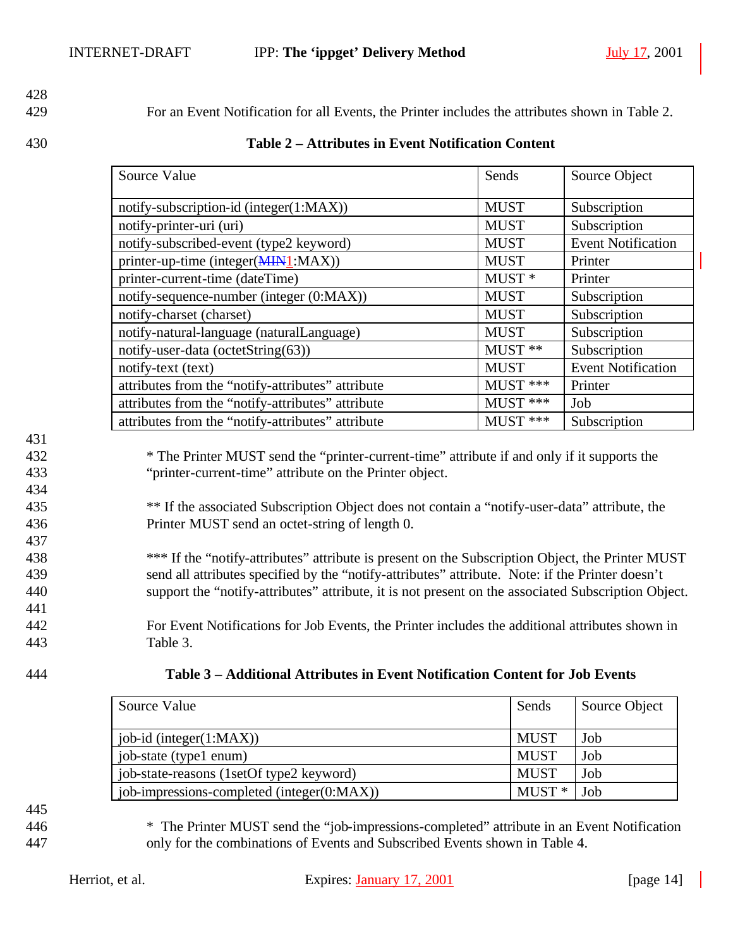# 428

429 For an Event Notification for all Events, the Printer includes the attributes shown in Table 2.

#### 430 **Table 2 – Attributes in Event Notification Content**

| Source Value                                      | Sends             | Source Object             |
|---------------------------------------------------|-------------------|---------------------------|
| notify-subscription-id (integer(1:MAX))           | <b>MUST</b>       | Subscription              |
| notify-printer-uri (uri)                          | <b>MUST</b>       | Subscription              |
| notify-subscribed-event (type2 keyword)           | <b>MUST</b>       | <b>Event Notification</b> |
| printer-up-time (integer(MIN1:MAX))               | <b>MUST</b>       | Printer                   |
| printer-current-time (dateTime)                   | MUST <sup>*</sup> | Printer                   |
| notify-sequence-number (integer (0:MAX))          | <b>MUST</b>       | Subscription              |
| notify-charset (charset)                          | <b>MUST</b>       | Subscription              |
| notify-natural-language (naturalLanguage)         | <b>MUST</b>       | Subscription              |
| notify-user-data (octetString(63))                | MUST **           | Subscription              |
| notify-text (text)                                | <b>MUST</b>       | <b>Event Notification</b> |
| attributes from the "notify-attributes" attribute | $MUST$ ***        | Printer                   |
| attributes from the "notify-attributes" attribute | $MUST$ ***        | Job                       |
| attributes from the "notify-attributes" attribute | MUST ***          | Subscription              |

#### 431

434

437

441

432 \* The Printer MUST send the "printer-current-time" attribute if and only if it supports the 433 "printer-current-time" attribute on the Printer object.

435 \*\* If the associated Subscription Object does not contain a "notify-user-data" attribute, the 436 Printer MUST send an octet-string of length 0.

438 \*\*\* If the "notify-attributes" attribute is present on the Subscription Object, the Printer MUST 439 send all attributes specified by the "notify-attributes" attribute. Note: if the Printer doesn't 440 support the "notify-attributes" attribute, it is not present on the associated Subscription Object.

442 For Event Notifications for Job Events, the Printer includes the additional attributes shown in 443 Table 3.

| 444 | Table 3 – Additional Attributes in Event Notification Content for Job Events |
|-----|------------------------------------------------------------------------------|
|     |                                                                              |

| Source Value                               | Sends       | Source Object |
|--------------------------------------------|-------------|---------------|
|                                            |             |               |
| $job-id$ (integer $(1:MAX)$ )              | <b>MUST</b> | Job           |
| job-state (type1 enum)                     | <b>MUST</b> | Job           |
| job-state-reasons (1setOf type2 keyword)   | <b>MUST</b> | Job           |
| job-impressions-completed (integer(0:MAX)) | $MUST*$     | Job           |

445

446 \* The Printer MUST send the "job-impressions-completed" attribute in an Event Notification 447 only for the combinations of Events and Subscribed Events shown in Table 4.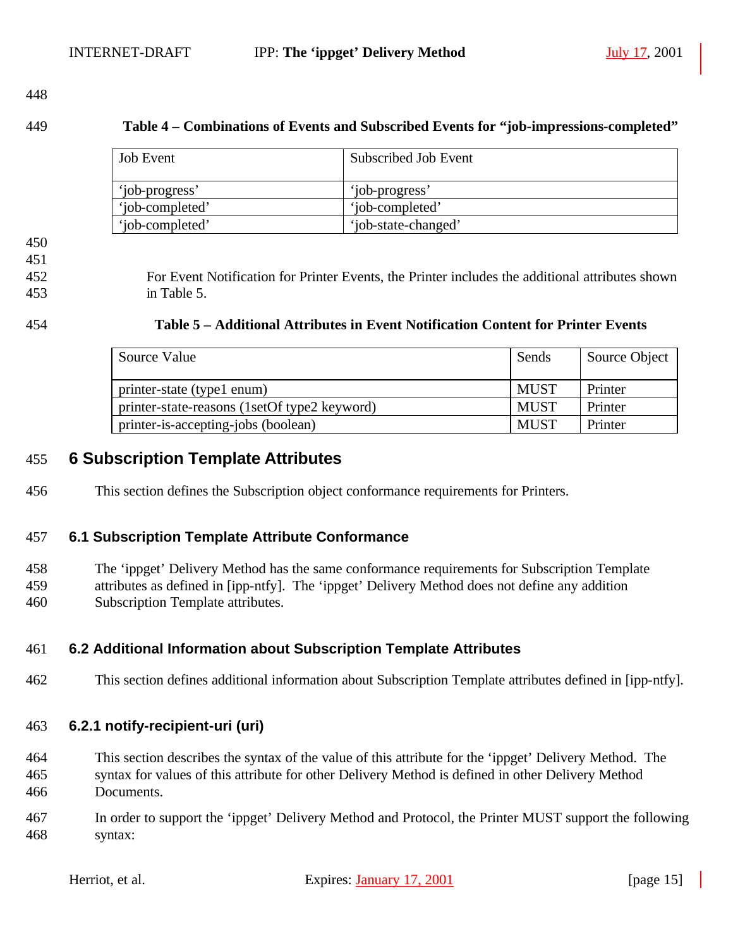#### **Table 4 – Combinations of Events and Subscribed Events for "job-impressions-completed"**

| <b>Job</b> Event | Subscribed Job Event |
|------------------|----------------------|
| 'job-progress'   | 'iob-progress'       |
| 'iob-completed'  | 'iob-completed'      |
| 'iob-completed'  | 'job-state-changed'  |

- 
- 

 For Event Notification for Printer Events, the Printer includes the additional attributes shown in Table 5.

| 454 | Table 5 – Additional Attributes in Event Notification Content for Printer Events |
|-----|----------------------------------------------------------------------------------|
|     |                                                                                  |

| Source Value                                 | Sends       | Source Object |
|----------------------------------------------|-------------|---------------|
| printer-state (type1 enum)                   | <b>MUST</b> | Printer       |
| printer-state-reasons (1setOf type2 keyword) | <b>MUST</b> | Printer       |
| printer-is-accepting-jobs (boolean)          | <b>MUST</b> | Printer       |

### **6 Subscription Template Attributes**

This section defines the Subscription object conformance requirements for Printers.

#### **6.1 Subscription Template Attribute Conformance**

 The 'ippget' Delivery Method has the same conformance requirements for Subscription Template attributes as defined in [ipp-ntfy]. The 'ippget' Delivery Method does not define any addition Subscription Template attributes.

#### **6.2 Additional Information about Subscription Template Attributes**

This section defines additional information about Subscription Template attributes defined in [ipp-ntfy].

#### **6.2.1 notify-recipient-uri (uri)**

- This section describes the syntax of the value of this attribute for the 'ippget' Delivery Method. The syntax for values of this attribute for other Delivery Method is defined in other Delivery Method Documents.
- In order to support the 'ippget' Delivery Method and Protocol, the Printer MUST support the following syntax: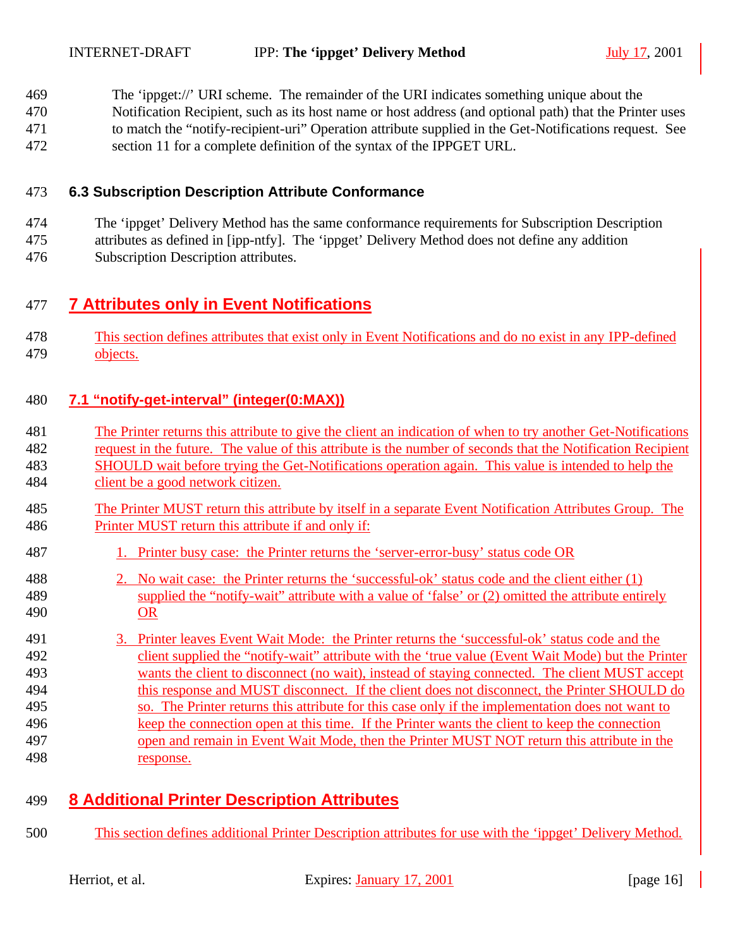The 'ippget://' URI scheme. The remainder of the URI indicates something unique about the

 Notification Recipient, such as its host name or host address (and optional path) that the Printer uses to match the "notify-recipient-uri" Operation attribute supplied in the Get-Notifications request. See

section 11 for a complete definition of the syntax of the IPPGET URL.

#### **6.3 Subscription Description Attribute Conformance**

 The 'ippget' Delivery Method has the same conformance requirements for Subscription Description attributes as defined in [ipp-ntfy]. The 'ippget' Delivery Method does not define any addition

Subscription Description attributes.

## **7 Attributes only in Event Notifications**

 This section defines attributes that exist only in Event Notifications and do no exist in any IPP-defined 479 objects.

#### **7.1 "notify-get-interval" (integer(0:MAX))**

- The Printer returns this attribute to give the client an indication of when to try another Get-Notifications
- request in the future. The value of this attribute is the number of seconds that the Notification Recipient SHOULD wait before trying the Get-Notifications operation again. This value is intended to help the
- client be a good network citizen.
- The Printer MUST return this attribute by itself in a separate Event Notification Attributes Group. The Printer MUST return this attribute if and only if:
- 1. Printer busy case: the Printer returns the 'server-error-busy' status code OR
- 488 2. No wait case: the Printer returns the 'successful-ok' status code and the client either (1) supplied the "notify-wait" attribute with a value of 'false' or (2) omitted the attribute entirely OR
- 3. Printer leaves Event Wait Mode: the Printer returns the 'successful-ok' status code and the client supplied the "notify-wait" attribute with the 'true value (Event Wait Mode) but the Printer wants the client to disconnect (no wait), instead of staying connected. The client MUST accept this response and MUST disconnect. If the client does not disconnect, the Printer SHOULD do so. The Printer returns this attribute for this case only if the implementation does not want to keep the connection open at this time. If the Printer wants the client to keep the connection open and remain in Event Wait Mode, then the Printer MUST NOT return this attribute in the response.

## **8 Additional Printer Description Attributes**

This section defines additional Printer Description attributes for use with the 'ippget' Delivery Method.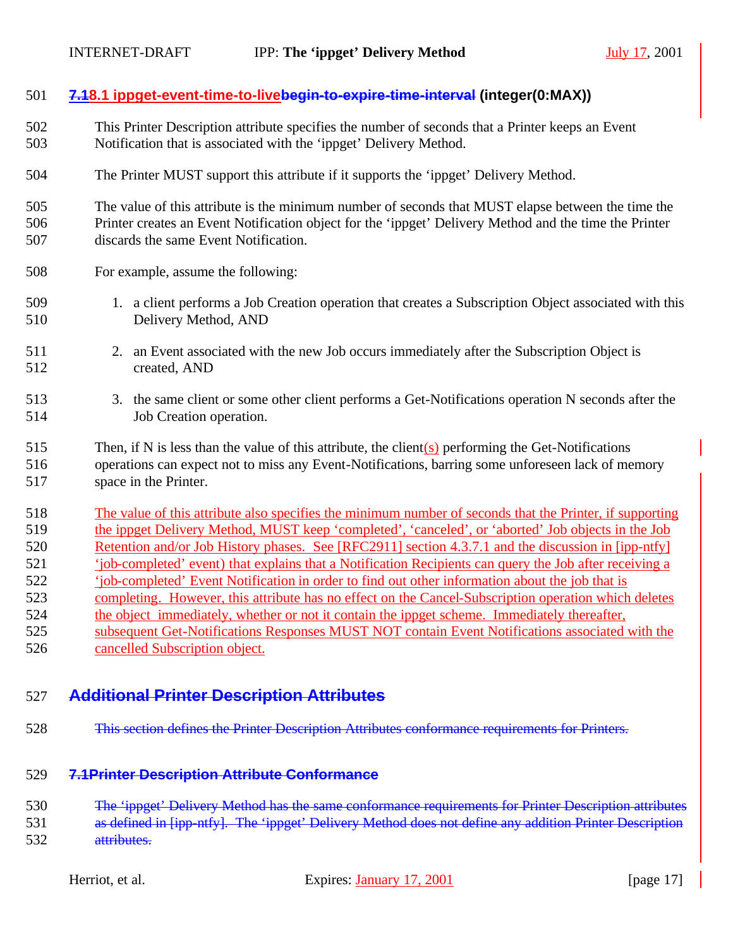#### **7.18.1 ippget-event-time-to-livebegin-to-expire-time-interval (integer(0:MAX))**

- This Printer Description attribute specifies the number of seconds that a Printer keeps an Event Notification that is associated with the 'ippget' Delivery Method.
- The Printer MUST support this attribute if it supports the 'ippget' Delivery Method.

 The value of this attribute is the minimum number of seconds that MUST elapse between the time the Printer creates an Event Notification object for the 'ippget' Delivery Method and the time the Printer discards the same Event Notification.

- For example, assume the following:
- 1. a client performs a Job Creation operation that creates a Subscription Object associated with this Delivery Method, AND
- 2. an Event associated with the new Job occurs immediately after the Subscription Object is created, AND
- 3. the same client or some other client performs a Get-Notifications operation N seconds after the Job Creation operation.
- 515 Then, if N is less than the value of this attribute, the client $(s)$  performing the Get-Notifications operations can expect not to miss any Event-Notifications, barring some unforeseen lack of memory space in the Printer.
- The value of this attribute also specifies the minimum number of seconds that the Printer, if supporting the ippget Delivery Method, MUST keep 'completed', 'canceled', or 'aborted' Job objects in the Job Retention and/or Job History phases. See [RFC2911] section 4.3.7.1 and the discussion in [ipp-ntfy] 521 'job-completed' event) that explains that a Notification Recipients can query the Job after receiving a 'job-completed' Event Notification in order to find out other information about the job that is completing. However, this attribute has no effect on the Cancel-Subscription operation which deletes the object immediately, whether or not it contain the ippget scheme. Immediately thereafter, subsequent Get-Notifications Responses MUST NOT contain Event Notifications associated with the
- cancelled Subscription object.

#### **Additional Printer Description Attributes**

This section defines the Printer Description Attributes conformance requirements for Printers.

#### **7.1Printer Description Attribute Conformance**

- 530 The 'ippget' Delivery Method has the same conformance requirements for Printer Description attributes
- as defined in [ipp-ntfy]. The 'ippget' Delivery Method does not define any addition Printer Description attributes.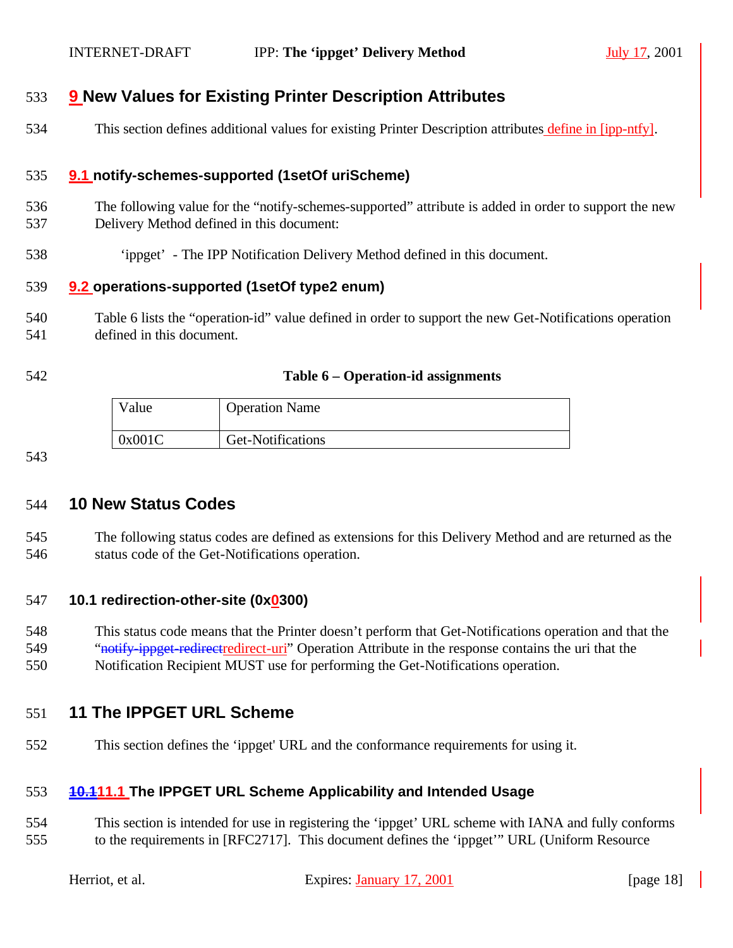## **9 New Values for Existing Printer Description Attributes**

This section defines additional values for existing Printer Description attributes define in [ipp-ntfy].

#### **9.1 notify-schemes-supported (1setOf uriScheme)**

- The following value for the "notify-schemes-supported" attribute is added in order to support the new Delivery Method defined in this document:
- 'ippget' The IPP Notification Delivery Method defined in this document.

#### **9.2 operations-supported (1setOf type2 enum)**

- Table 6 lists the "operation-id" value defined in order to support the new Get-Notifications operation defined in this document.
- 

#### **Table 6 – Operation-id assignments**

| Value  | <b>Operation Name</b> |
|--------|-----------------------|
| 0x001C | Get-Notifications     |

#### **10 New Status Codes**

 The following status codes are defined as extensions for this Delivery Method and are returned as the status code of the Get-Notifications operation.

#### **10.1 redirection-other-site (0x0300)**

- This status code means that the Printer doesn't perform that Get-Notifications operation and that the
- 549 "<del>notify ippget redirect</del>redirect-uri" Operation Attribute in the response contains the uri that the
- Notification Recipient MUST use for performing the Get-Notifications operation.

### **11 The IPPGET URL Scheme**

This section defines the 'ippget' URL and the conformance requirements for using it.

#### **10.111.1 The IPPGET URL Scheme Applicability and Intended Usage**

 This section is intended for use in registering the 'ippget' URL scheme with IANA and fully conforms to the requirements in [RFC2717]. This document defines the 'ippget'" URL (Uniform Resource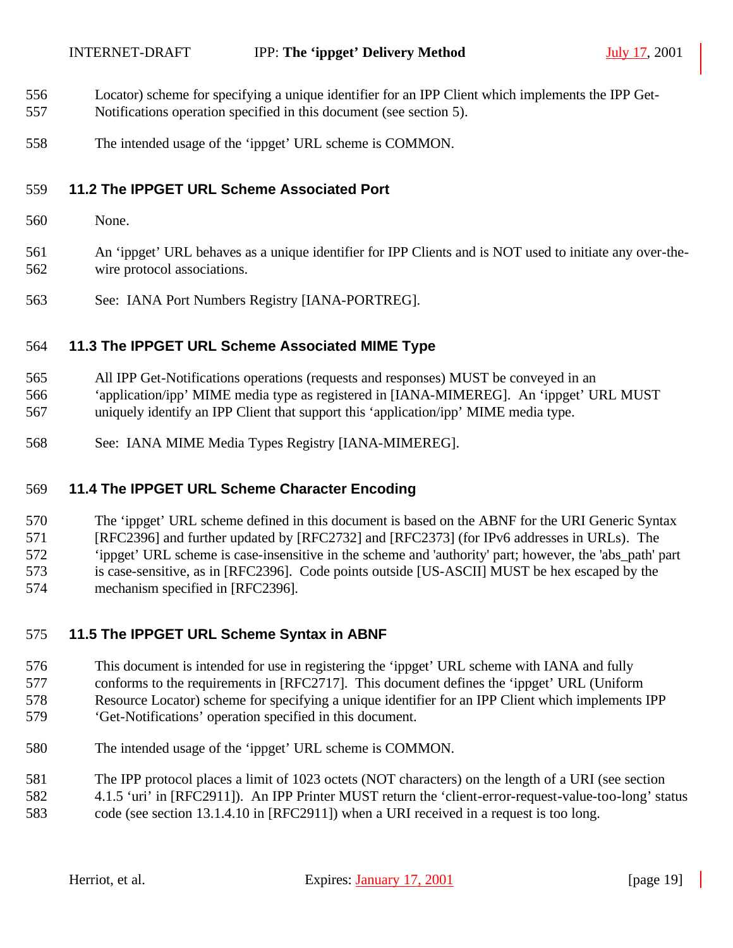- Locator) scheme for specifying a unique identifier for an IPP Client which implements the IPP Get-
- Notifications operation specified in this document (see section 5).
- The intended usage of the 'ippget' URL scheme is COMMON.

#### **11.2 The IPPGET URL Scheme Associated Port**

None.

 An 'ippget' URL behaves as a unique identifier for IPP Clients and is NOT used to initiate any over-the-wire protocol associations.

See: IANA Port Numbers Registry [IANA-PORTREG].

#### **11.3 The IPPGET URL Scheme Associated MIME Type**

All IPP Get-Notifications operations (requests and responses) MUST be conveyed in an

 'application/ipp' MIME media type as registered in [IANA-MIMEREG]. An 'ippget' URL MUST uniquely identify an IPP Client that support this 'application/ipp' MIME media type.

See: IANA MIME Media Types Registry [IANA-MIMEREG].

### **11.4 The IPPGET URL Scheme Character Encoding**

 The 'ippget' URL scheme defined in this document is based on the ABNF for the URI Generic Syntax [RFC2396] and further updated by [RFC2732] and [RFC2373] (for IPv6 addresses in URLs). The 'ippget' URL scheme is case-insensitive in the scheme and 'authority' part; however, the 'abs\_path' part is case-sensitive, as in [RFC2396]. Code points outside [US-ASCII] MUST be hex escaped by the mechanism specified in [RFC2396].

#### **11.5 The IPPGET URL Scheme Syntax in ABNF**

- This document is intended for use in registering the 'ippget' URL scheme with IANA and fully conforms to the requirements in [RFC2717]. This document defines the 'ippget' URL (Uniform Resource Locator) scheme for specifying a unique identifier for an IPP Client which implements IPP 'Get-Notifications' operation specified in this document.
- The intended usage of the 'ippget' URL scheme is COMMON.
- The IPP protocol places a limit of 1023 octets (NOT characters) on the length of a URI (see section
- 4.1.5 'uri' in [RFC2911]). An IPP Printer MUST return the 'client-error-request-value-too-long' status
- code (see section 13.1.4.10 in [RFC2911]) when a URI received in a request is too long.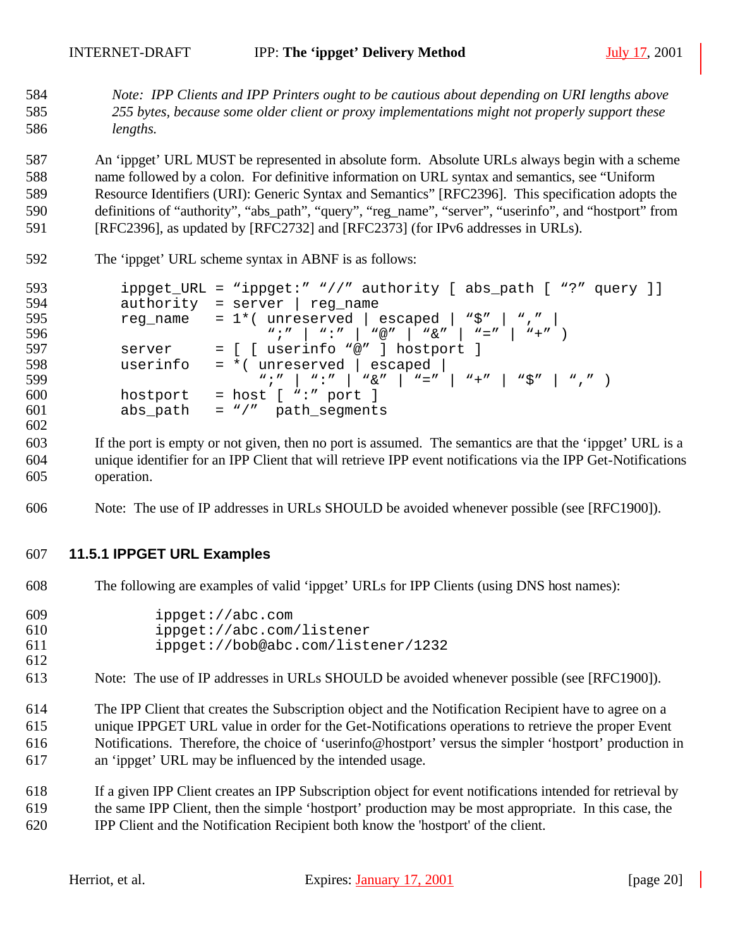*Note: IPP Clients and IPP Printers ought to be cautious about depending on URI lengths above 255 bytes, because some older client or proxy implementations might not properly support these lengths.* 

 An 'ippget' URL MUST be represented in absolute form. Absolute URLs always begin with a scheme name followed by a colon. For definitive information on URL syntax and semantics, see "Uniform Resource Identifiers (URI): Generic Syntax and Semantics" [RFC2396]. This specification adopts the definitions of "authority", "abs\_path", "query", "reg\_name", "server", "userinfo", and "hostport" from [RFC2396], as updated by [RFC2732] and [RFC2373] (for IPv6 addresses in URLs).

| 592 | The 'ippget' URL scheme syntax in ABNF is as follows:                                                                         |
|-----|-------------------------------------------------------------------------------------------------------------------------------|
| 593 | ippget_URL = "ippget:" "//" authority [ abs_path [ "?" query ]]                                                               |
| 594 | $authority = server   reg_name$                                                                                               |
| 595 | reg_name = $1*($ unreserved   escaped   "\$"   ","                                                                            |
| 596 | $w: u \quad   \quad w: u \quad   \quad w \otimes u \quad   \quad w \otimes u \quad   \quad w = u \quad   \quad w + u \quad  $ |
| 597 | = [ [ userinfo "@" ] hostport ]<br>server                                                                                     |
| 598 | $= *$ (unreserved   escaped  <br>userinfo                                                                                     |
| 599 | $w, w' = w, w' = w' = w' = w' = w' = w' = w' = w' = w' = w' = w'$                                                             |
| 600 | $=$ host $[$ ":" port $]$<br>hostport                                                                                         |
| 601 | abs_path = $\sqrt{''}$ path_seqments                                                                                          |
| 602 |                                                                                                                               |
| 603 | If the port is empty or not given, then no port is assumed. The semantics are that the 'ippget' URL is a                      |
|     |                                                                                                                               |

- unique identifier for an IPP Client that will retrieve IPP event notifications via the IPP Get-Notifications operation.
- Note: The use of IP addresses in URLs SHOULD be avoided whenever possible (see [RFC1900]).

#### **11.5.1 IPPGET URL Examples**

The following are examples of valid 'ippget' URLs for IPP Clients (using DNS host names):

| 609 | ippect://abc.com                   |
|-----|------------------------------------|
| 610 | ippect://abc.com/listener          |
| 611 | ippget://bob@abc.com/listener/1232 |
| 612 |                                    |

- Note: The use of IP addresses in URLs SHOULD be avoided whenever possible (see [RFC1900]).
- The IPP Client that creates the Subscription object and the Notification Recipient have to agree on a unique IPPGET URL value in order for the Get-Notifications operations to retrieve the proper Event Notifications. Therefore, the choice of 'userinfo@hostport' versus the simpler 'hostport' production in an 'ippget' URL may be influenced by the intended usage.
- If a given IPP Client creates an IPP Subscription object for event notifications intended for retrieval by the same IPP Client, then the simple 'hostport' production may be most appropriate. In this case, the
- IPP Client and the Notification Recipient both know the 'hostport' of the client.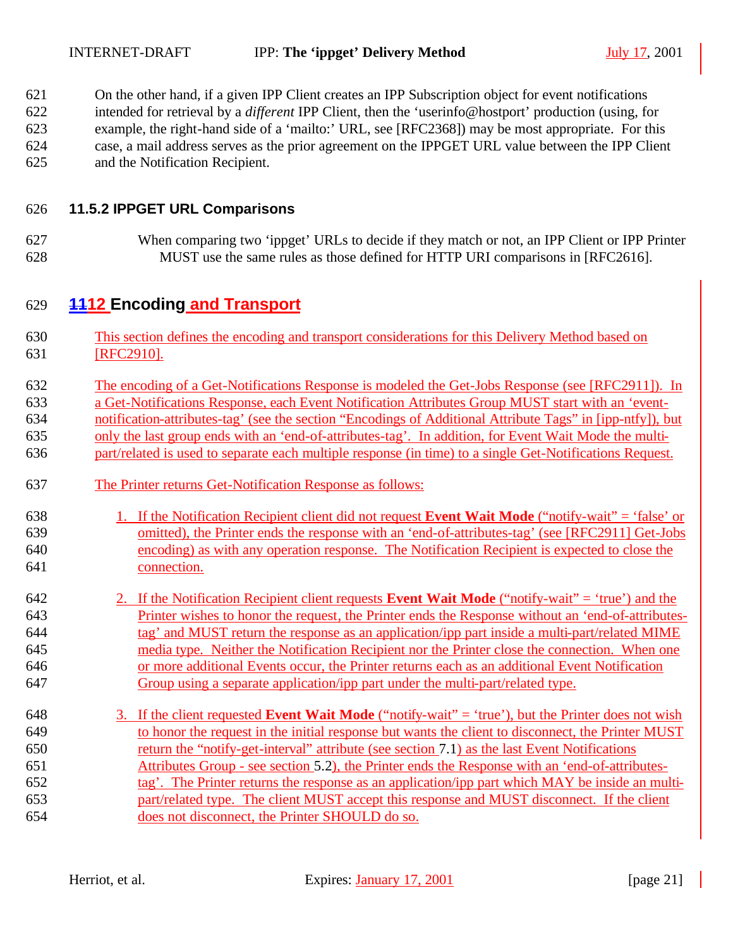On the other hand, if a given IPP Client creates an IPP Subscription object for event notifications intended for retrieval by a *different* IPP Client, then the 'userinfo@hostport' production (using, for example, the right-hand side of a 'mailto:' URL, see [RFC2368]) may be most appropriate. For this case, a mail address serves as the prior agreement on the IPPGET URL value between the IPP Client and the Notification Recipient.

#### **11.5.2 IPPGET URL Comparisons**

 When comparing two 'ippget' URLs to decide if they match or not, an IPP Client or IPP Printer MUST use the same rules as those defined for HTTP URI comparisons in [RFC2616].

## **1112 Encoding and Transport**

- This section defines the encoding and transport considerations for this Delivery Method based on 631 [RFC2910].
- The encoding of a Get-Notifications Response is modeled the Get-Jobs Response (see [RFC2911]). In
- a Get-Notifications Response, each Event Notification Attributes Group MUST start with an 'event-
- notification-attributes-tag' (see the section "Encodings of Additional Attribute Tags" in [ipp-ntfy]), but
- only the last group ends with an 'end-of-attributes-tag'. In addition, for Event Wait Mode the multi-
- part/related is used to separate each multiple response (in time) to a single Get-Notifications Request.
- The Printer returns Get-Notification Response as follows:
- 1. If the Notification Recipient client did not request **Event Wait Mode** ("notify-wait" = 'false' or omitted), the Printer ends the response with an 'end-of-attributes-tag' (see [RFC2911] Get-Jobs encoding) as with any operation response. The Notification Recipient is expected to close the connection.
- 2. If the Notification Recipient client requests **Event Wait Mode** ("notify-wait" = 'true') and the Printer wishes to honor the request, the Printer ends the Response without an 'end-of-attributes- tag' and MUST return the response as an application/ipp part inside a multi-part/related MIME media type. Neither the Notification Recipient nor the Printer close the connection. When one or more additional Events occur, the Printer returns each as an additional Event Notification Group using a separate application/ipp part under the multi-part/related type.
- 3. If the client requested **Event Wait Mode** ("notify-wait" = 'true'), but the Printer does not wish to honor the request in the initial response but wants the client to disconnect, the Printer MUST return the "notify-get-interval" attribute (see section 7.1) as the last Event Notifications Attributes Group - see section 5.2), the Printer ends the Response with an 'end-of-attributes- tag'. The Printer returns the response as an application/ipp part which MAY be inside an multi- part/related type. The client MUST accept this response and MUST disconnect. If the client does not disconnect, the Printer SHOULD do so.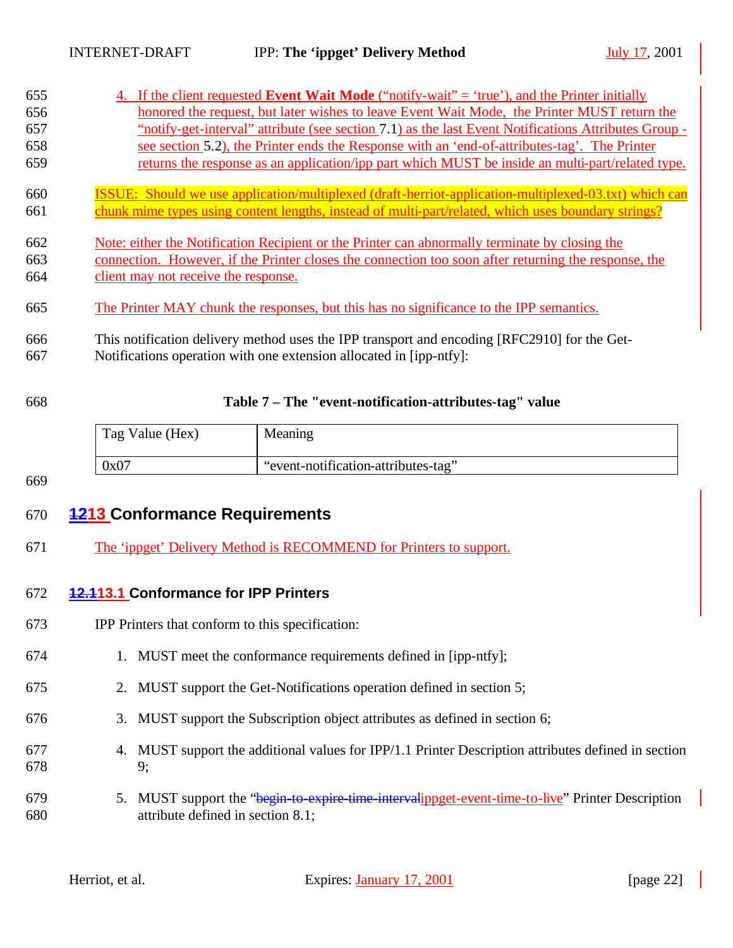| honored the request, but later wishes to leave Event Wait Mode, the Printer MUST return the<br>"notify-get-interval" attribute (see section 7.1) as the last Event Notifications Attributes Group -<br>see section 5.2), the Printer ends the Response with an 'end-of-attributes-tag'. The Printer |
|-----------------------------------------------------------------------------------------------------------------------------------------------------------------------------------------------------------------------------------------------------------------------------------------------------|
|                                                                                                                                                                                                                                                                                                     |
|                                                                                                                                                                                                                                                                                                     |
|                                                                                                                                                                                                                                                                                                     |
| returns the response as an application/ipp part which MUST be inside an multi-part/related type.                                                                                                                                                                                                    |
| <b>ISSUE:</b> Should we use application/multiplexed (draft-herriot-application-multiplexed-03.txt) which can                                                                                                                                                                                        |
| chunk mime types using content lengths, instead of multi-part/related, which uses boundary strings?                                                                                                                                                                                                 |
| Note: either the Notification Recipient or the Printer can abnormally terminate by closing the                                                                                                                                                                                                      |
| connection. However, if the Printer closes the connection too soon after returning the response, the                                                                                                                                                                                                |
|                                                                                                                                                                                                                                                                                                     |
| The Printer MAY chunk the responses, but this has no significance to the IPP semantics.                                                                                                                                                                                                             |
| This notification delivery method uses the IPP transport and encoding [RFC2910] for the Get-                                                                                                                                                                                                        |
|                                                                                                                                                                                                                                                                                                     |

#### 668 **Table 7 – The "event-notification-attributes-tag" value**

| Tag Value (Hex) | Meaning                             |
|-----------------|-------------------------------------|
| 0x07            | "event-notification-attributes-tag" |

669

## 670 **1213 Conformance Requirements**

671 The 'ippget' Delivery Method is RECOMMEND for Printers to support.

#### 672 **12.113.1 Conformance for IPP Printers**

- 673 IPP Printers that conform to this specification:
- 674 1. MUST meet the conformance requirements defined in [ipp-ntfy];
- 675 2. MUST support the Get-Notifications operation defined in section 5;
- 676 3. MUST support the Subscription object attributes as defined in section 6;
- 677 4. MUST support the additional values for IPP/1.1 Printer Description attributes defined in section 678 9;
- 679 5. MUST support the "begin-to-expire-time-intervalippget-event-time-to-live" Printer Description 680 attribute defined in section 8.1;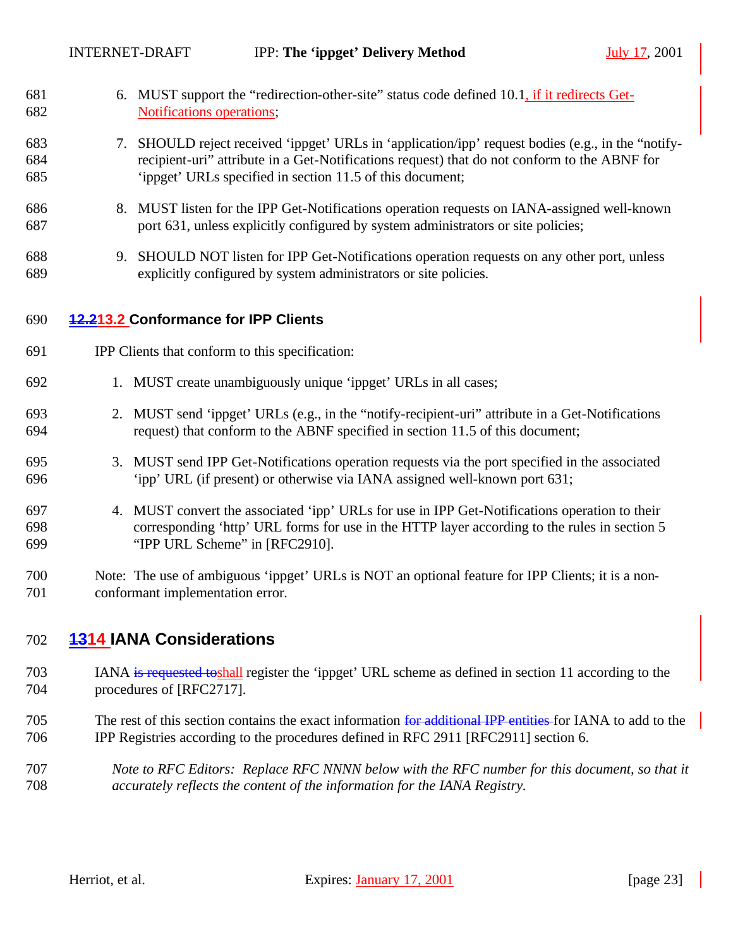- 6. MUST support the "redirection-other-site" status code defined 10.1, if it redirects Get-Notifications operations;
- 7. SHOULD reject received 'ippget' URLs in 'application/ipp' request bodies (e.g., in the "notify- recipient-uri" attribute in a Get-Notifications request) that do not conform to the ABNF for 'ippget' URLs specified in section 11.5 of this document;
- 8. MUST listen for the IPP Get-Notifications operation requests on IANA-assigned well-known port 631, unless explicitly configured by system administrators or site policies;
- 9. SHOULD NOT listen for IPP Get-Notifications operation requests on any other port, unless explicitly configured by system administrators or site policies.
- **12.213.2 Conformance for IPP Clients**
- IPP Clients that conform to this specification:
- 1. MUST create unambiguously unique 'ippget' URLs in all cases;
- 2. MUST send 'ippget' URLs (e.g., in the "notify-recipient-uri" attribute in a Get-Notifications request) that conform to the ABNF specified in section 11.5 of this document;
- 3. MUST send IPP Get-Notifications operation requests via the port specified in the associated 'ipp' URL (if present) or otherwise via IANA assigned well-known port 631;
- 4. MUST convert the associated 'ipp' URLs for use in IPP Get-Notifications operation to their corresponding 'http' URL forms for use in the HTTP layer according to the rules in section 5 "IPP URL Scheme" in [RFC2910].
- Note: The use of ambiguous 'ippget' URLs is NOT an optional feature for IPP Clients; it is a non-conformant implementation error.

## **1314 IANA Considerations**

- IANA is requested toshall register the 'ippget' URL scheme as defined in section 11 according to the procedures of [RFC2717].
- 705 The rest of this section contains the exact information for additional IPP entities for IANA to add to the IPP Registries according to the procedures defined in RFC 2911 [RFC2911] section 6.
- *Note to RFC Editors: Replace RFC NNNN below with the RFC number for this document, so that it accurately reflects the content of the information for the IANA Registry.*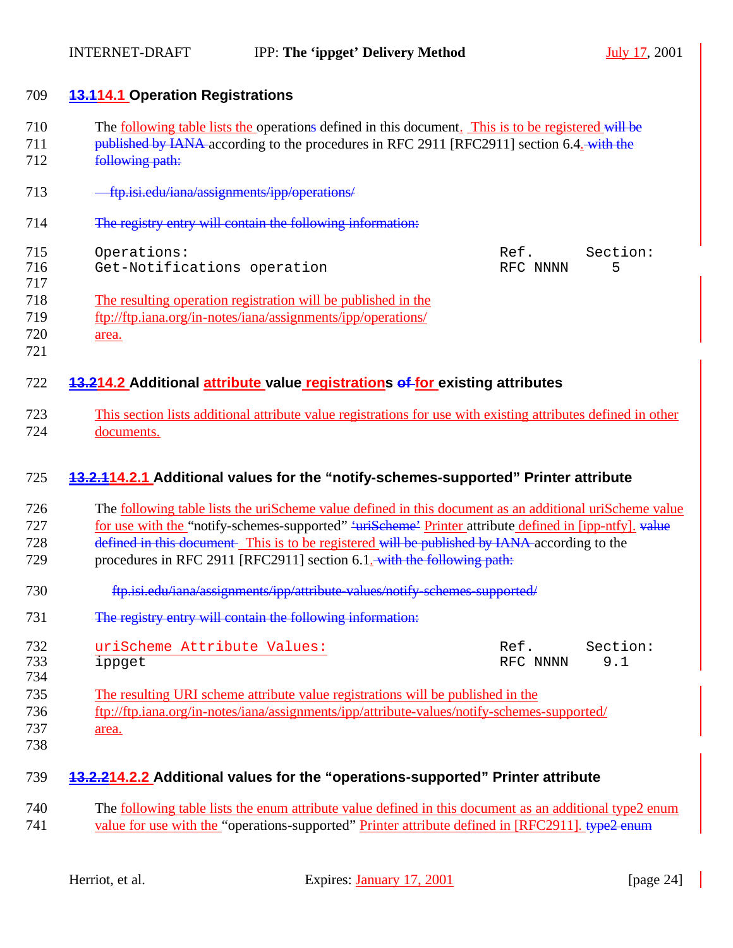| 709        | <b>13.114.1 Operation Registrations</b>                                                                                                                                                                            |  |  |
|------------|--------------------------------------------------------------------------------------------------------------------------------------------------------------------------------------------------------------------|--|--|
| 710<br>711 | The <u>following table lists the</u> operations defined in this document. This is to be registered will be<br>published by IANA-according to the procedures in RFC 2911 [RFC2911] section 6.4. with the            |  |  |
| 712        | following path:                                                                                                                                                                                                    |  |  |
| 713        | - ftp.isi.edu/iana/assignments/ipp/operations/                                                                                                                                                                     |  |  |
| 714        | The registry entry will contain the following information:                                                                                                                                                         |  |  |
| 715        | Operations:<br>Section:<br>Ref.                                                                                                                                                                                    |  |  |
| 716        | Get-Notifications operation<br>RFC NNNN<br>5                                                                                                                                                                       |  |  |
| 717        |                                                                                                                                                                                                                    |  |  |
| 718        | The resulting operation registration will be published in the                                                                                                                                                      |  |  |
| 719        | ftp://ftp.iana.org/in-notes/iana/assignments/ipp/operations/                                                                                                                                                       |  |  |
| 720        | area.                                                                                                                                                                                                              |  |  |
| 721        |                                                                                                                                                                                                                    |  |  |
| 722        | 13.214.2 Additional attribute value registrations of for existing attributes                                                                                                                                       |  |  |
| 723        | This section lists additional attribute value registrations for use with existing attributes defined in other                                                                                                      |  |  |
| 724        | documents.                                                                                                                                                                                                         |  |  |
|            |                                                                                                                                                                                                                    |  |  |
| 725        | 13.2.114.2.1 Additional values for the "notify-schemes-supported" Printer attribute                                                                                                                                |  |  |
| 726        | The <u>following table</u> lists the uriScheme value defined in this document as an additional uriScheme value                                                                                                     |  |  |
| 727        | for use with the "notify-schemes-supported" 'urischeme' Printer attribute defined in [ipp-ntfy]. value                                                                                                             |  |  |
| 728        | defined in this document. This is to be registered will be published by IANA according to the                                                                                                                      |  |  |
| 729        | procedures in RFC 2911 [RFC2911] section 6.1. with the following path:                                                                                                                                             |  |  |
|            |                                                                                                                                                                                                                    |  |  |
| 730        | ftp.isi.edu/iana/assignments/ipp/attribute-values/notify-schemes-supported/                                                                                                                                        |  |  |
| 731        | The registry entry will contain the following information:                                                                                                                                                         |  |  |
| 732        | uriScheme Attribute Values:<br>Section:<br>Ref.                                                                                                                                                                    |  |  |
| 733        | 9.1<br>RFC NNNN<br>ippget                                                                                                                                                                                          |  |  |
| 734        |                                                                                                                                                                                                                    |  |  |
| 735        | The resulting URI scheme attribute value registrations will be published in the                                                                                                                                    |  |  |
| 736        | ftp://ftp.iana.org/in-notes/iana/assignments/ipp/attribute-values/notify-schemes-supported/                                                                                                                        |  |  |
| 737        | area.                                                                                                                                                                                                              |  |  |
| 738        |                                                                                                                                                                                                                    |  |  |
| 739        | 13.2.214.2.2 Additional values for the "operations-supported" Printer attribute                                                                                                                                    |  |  |
| 740        |                                                                                                                                                                                                                    |  |  |
| 741        | The <u>following table</u> lists the enum attribute value defined in this document as an additional type2 enum<br>value for use with the "operations-supported" Printer attribute defined in [RFC2911]. type2 enum |  |  |
|            |                                                                                                                                                                                                                    |  |  |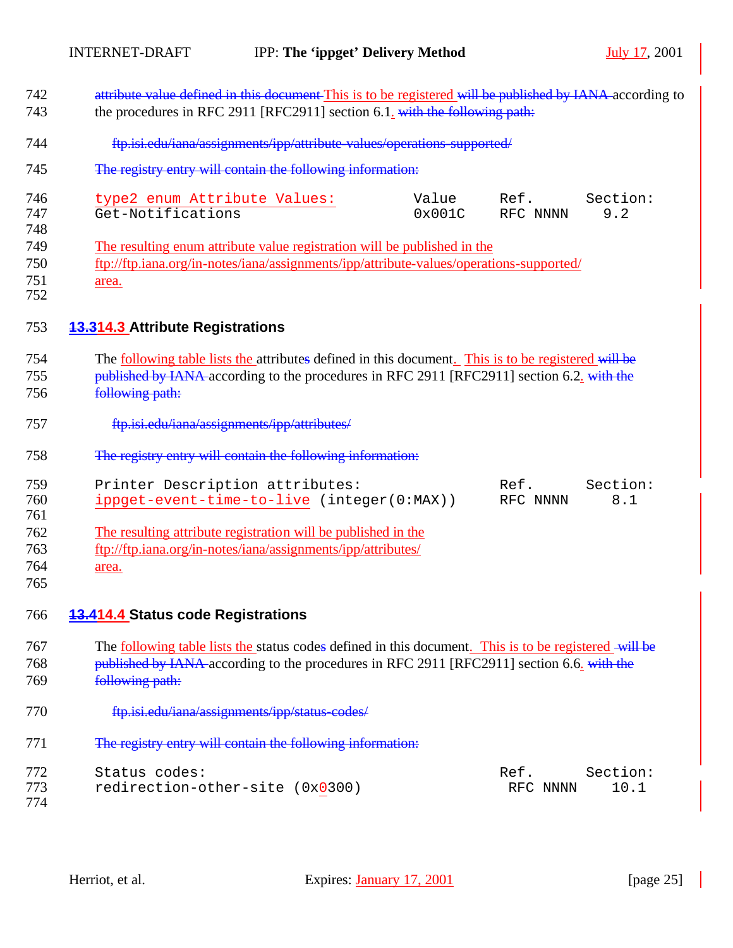| 742        | attribute value defined in this document This is to be registered will be published by IANA according to     |        |          |          |  |
|------------|--------------------------------------------------------------------------------------------------------------|--------|----------|----------|--|
| 743        | the procedures in RFC 2911 [RFC2911] section 6.1. with the following path:                                   |        |          |          |  |
| 744        | ftp.isi.edu/iana/assignments/ipp/attribute-values/operations-supported/                                      |        |          |          |  |
| 745        | The registry entry will contain the following information:                                                   |        |          |          |  |
| 746        | type2 enum Attribute Values:                                                                                 | Value  | Ref.     | Section: |  |
| 747        | Get-Notifications                                                                                            | 0x001C | RFC NNNN | 9.2      |  |
| 748<br>749 | The resulting enum attribute value registration will be published in the                                     |        |          |          |  |
| 750        | ftp://ftp.iana.org/in-notes/iana/assignments/ipp/attribute-values/operations-supported/                      |        |          |          |  |
| 751<br>752 | area.                                                                                                        |        |          |          |  |
| 753        | <b>13.314.3 Attribute Registrations</b>                                                                      |        |          |          |  |
| 754        | The <u>following table lists the attributes</u> defined in this document. This is to be registered will be   |        |          |          |  |
| 755        | published by IANA-according to the procedures in RFC 2911 [RFC2911] section 6.2. with the                    |        |          |          |  |
| 756        | following path:                                                                                              |        |          |          |  |
| 757        | ftp.isi.edu/iana/assignments/ipp/attributes/                                                                 |        |          |          |  |
| 758        | The registry entry will contain the following information:                                                   |        |          |          |  |
| 759        | Printer Description attributes:                                                                              |        | Ref.     | Section: |  |
| 760        | ippget-event-time-to-live (integer(0:MAX))                                                                   |        | RFC NNNN | 8.1      |  |
| 761        |                                                                                                              |        |          |          |  |
| 762        | The resulting attribute registration will be published in the                                                |        |          |          |  |
| 763<br>764 | ftp://ftp.iana.org/in-notes/iana/assignments/ipp/attributes/                                                 |        |          |          |  |
| 765        | area.                                                                                                        |        |          |          |  |
| 766        | <b>13.414.4 Status code Registrations</b>                                                                    |        |          |          |  |
|            |                                                                                                              |        |          |          |  |
| 767        | The <u>following table lists the</u> status codes defined in this document. This is to be registered will be |        |          |          |  |
| 768        | published by IANA-according to the procedures in RFC 2911 [RFC2911] section 6.6. with the                    |        |          |          |  |
| 769        | following path:                                                                                              |        |          |          |  |
| 770        | ftp.isi.edu/iana/assignments/ipp/status-codes/                                                               |        |          |          |  |
| 771        | The registry entry will contain the following information:                                                   |        |          |          |  |
| 772        | Status codes:                                                                                                |        | Ref.     | Section: |  |
| 773<br>774 | redirection-other-site (0x0300)                                                                              |        | RFC NNNN | 10.1     |  |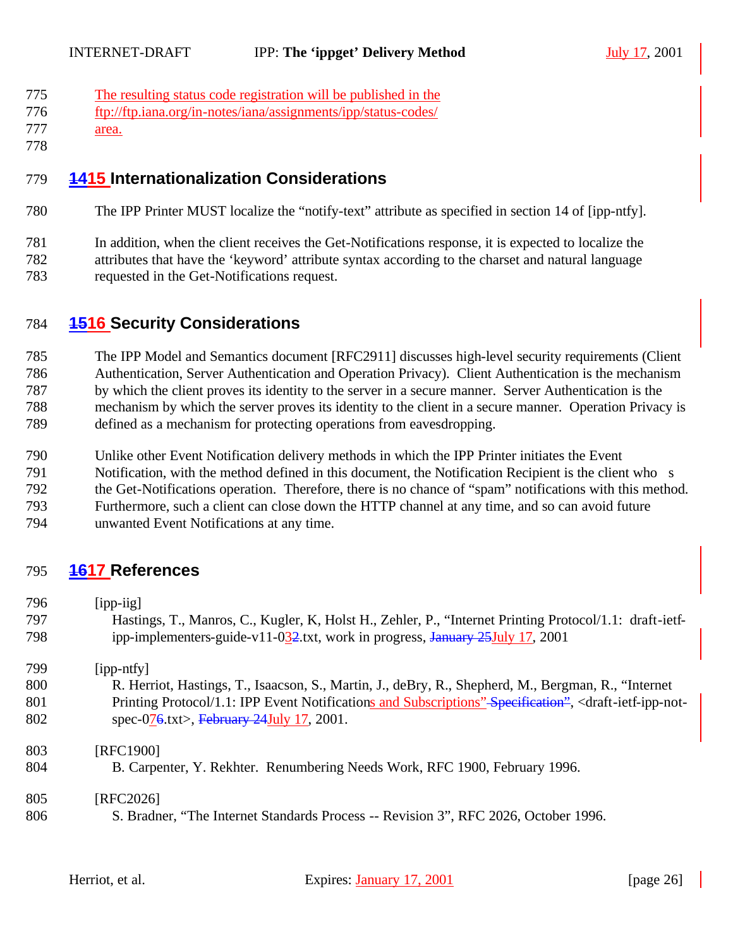- The resulting status code registration will be published in the
- ftp://ftp.iana.org/in-notes/iana/assignments/ipp/status-codes/
- area.
- 

## **1415 Internationalization Considerations**

The IPP Printer MUST localize the "notify-text" attribute as specified in section 14 of [ipp-ntfy].

 In addition, when the client receives the Get-Notifications response, it is expected to localize the attributes that have the 'keyword' attribute syntax according to the charset and natural language

requested in the Get-Notifications request.

## **1516 Security Considerations**

 The IPP Model and Semantics document [RFC2911] discusses high-level security requirements (Client Authentication, Server Authentication and Operation Privacy). Client Authentication is the mechanism by which the client proves its identity to the server in a secure manner. Server Authentication is the mechanism by which the server proves its identity to the client in a secure manner. Operation Privacy is defined as a mechanism for protecting operations from eavesdropping.

- Unlike other Event Notification delivery methods in which the IPP Printer initiates the Event
- Notification, with the method defined in this document, the Notification Recipient is the client who s
- the Get-Notifications operation. Therefore, there is no chance of "spam" notifications with this method.

 Furthermore, such a client can close down the HTTP channel at any time, and so can avoid future unwanted Event Notifications at any time.

## **1617 References**

 [ipp-iig] Hastings, T., Manros, C., Kugler, K, Holst H., Zehler, P., "Internet Printing Protocol/1.1: draft-ietf-798 ipp-implementers-guide-v11-032.txt, work in progress, January 25July 17, 2001 [ipp-ntfy] R. Herriot, Hastings, T., Isaacson, S., Martin, J., deBry, R., Shepherd, M., Bergman, R., "Internet 801 Printing Protocol/1.1: IPP Event Notifications and Subscriptions" Specification", <draft-ietf-ipp-not-802 spec-076.txt>, February 24July 17, 2001. [RFC1900] B. Carpenter, Y. Rekhter. Renumbering Needs Work, RFC 1900, February 1996. 805 [RFC2026] S. Bradner, "The Internet Standards Process -- Revision 3", RFC 2026, October 1996.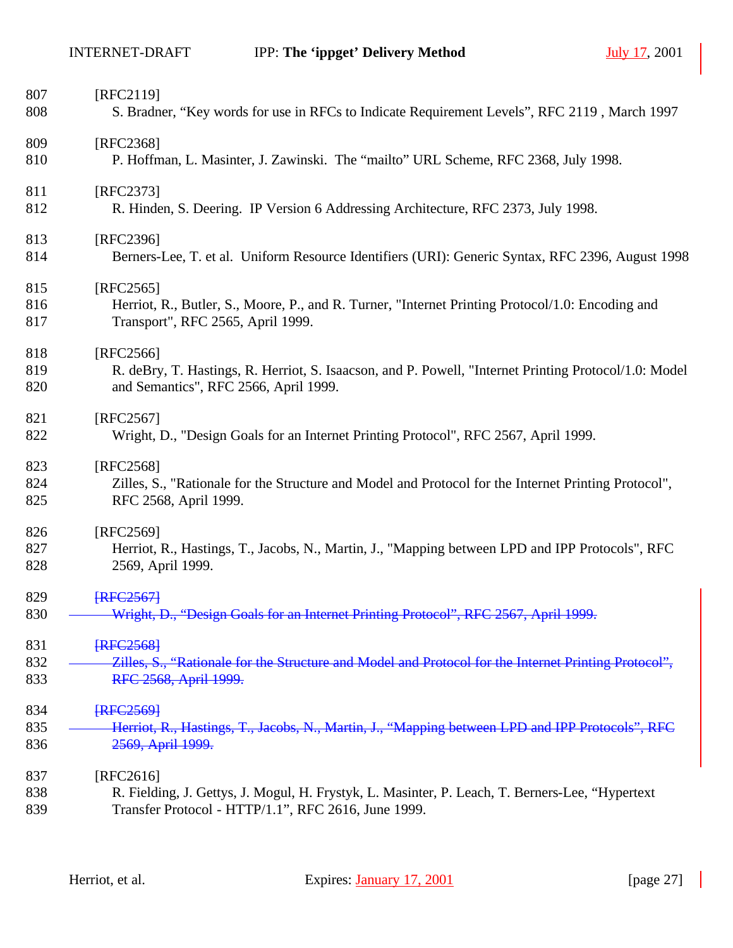| 807<br>808 | [RFC2119]<br>S. Bradner, "Key words for use in RFCs to Indicate Requirement Levels", RFC 2119, March 1997                             |
|------------|---------------------------------------------------------------------------------------------------------------------------------------|
| 809        | [RFC2368]                                                                                                                             |
| 810        | P. Hoffman, L. Masinter, J. Zawinski. The "mailto" URL Scheme, RFC 2368, July 1998.                                                   |
| 811        | [RFC2373]                                                                                                                             |
| 812        | R. Hinden, S. Deering. IP Version 6 Addressing Architecture, RFC 2373, July 1998.                                                     |
| 813        | [RFC2396]                                                                                                                             |
| 814        | Berners-Lee, T. et al. Uniform Resource Identifiers (URI): Generic Syntax, RFC 2396, August 1998                                      |
| 815        | $[RFC2565]$                                                                                                                           |
| 816<br>817 | Herriot, R., Butler, S., Moore, P., and R. Turner, "Internet Printing Protocol/1.0: Encoding and<br>Transport", RFC 2565, April 1999. |
| 818        | [RFC2566]                                                                                                                             |
| 819        | R. deBry, T. Hastings, R. Herriot, S. Isaacson, and P. Powell, "Internet Printing Protocol/1.0: Model                                 |
| 820        | and Semantics", RFC 2566, April 1999.                                                                                                 |
| 821        | [RFC2567]                                                                                                                             |
| 822        | Wright, D., "Design Goals for an Internet Printing Protocol", RFC 2567, April 1999.                                                   |
| 823        | [RFC2568]                                                                                                                             |
| 824        | Zilles, S., "Rationale for the Structure and Model and Protocol for the Internet Printing Protocol",                                  |
| 825        | RFC 2568, April 1999.                                                                                                                 |
| 826        | [RFC2569]                                                                                                                             |
| 827        | Herriot, R., Hastings, T., Jacobs, N., Martin, J., "Mapping between LPD and IPP Protocols", RFC                                       |
| 828        | 2569, April 1999.                                                                                                                     |
| 829        | <b>IRFC25671</b>                                                                                                                      |
| 830        | Wright, D., "Design Goals for an Internet Printing Protocol", RFC 2567, April 1999.                                                   |
| 831        | <b>FRFC25681</b>                                                                                                                      |
| 832        | Zilles, S., "Rationale for the Structure and Model and Protocol for the Internet Printing Protocol",                                  |
| 833        | RFC 2568, April 1999.                                                                                                                 |
| 834        | <b>FRFC25691</b>                                                                                                                      |
| 835        | Herriot, R., Hastings, T., Jacobs, N., Martin, J., "Mapping between LPD and IPP Protocols", RFC                                       |
| 836        | 2569, April 1999.                                                                                                                     |
| 837        | [RFC2616]                                                                                                                             |
| 838        | R. Fielding, J. Gettys, J. Mogul, H. Frystyk, L. Masinter, P. Leach, T. Berners-Lee, "Hypertext"                                      |
| 839        | Transfer Protocol - HTTP/1.1", RFC 2616, June 1999.                                                                                   |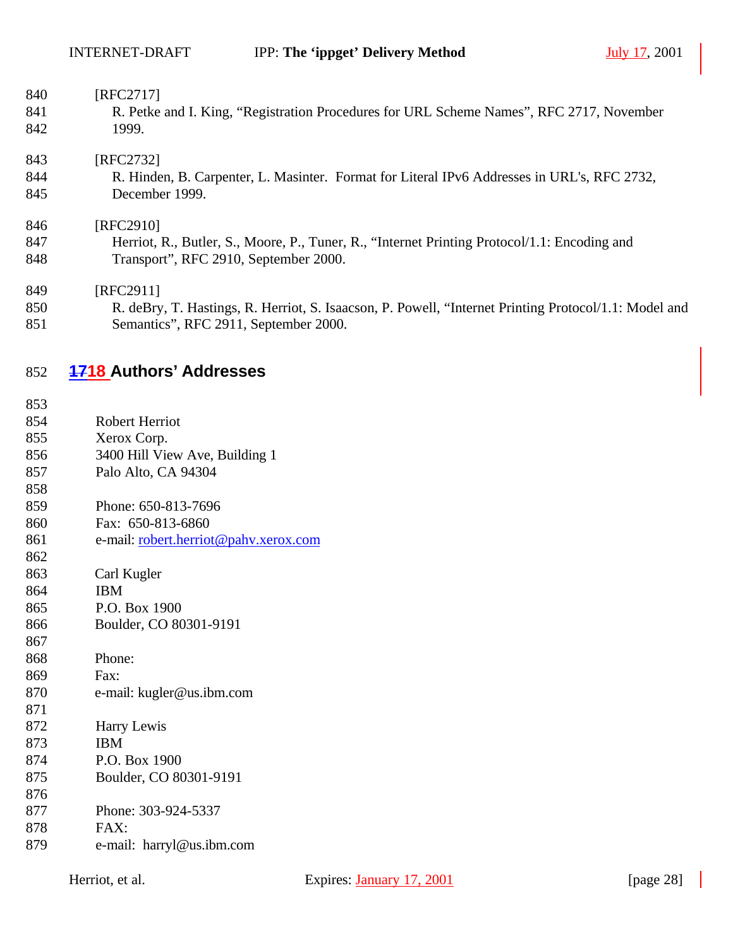| 840 | [RFC2717]                                                                                             |
|-----|-------------------------------------------------------------------------------------------------------|
| 841 | R. Petke and I. King, "Registration Procedures for URL Scheme Names", RFC 2717, November              |
| 842 | 1999.                                                                                                 |
| 843 | [RFC2732]                                                                                             |
| 844 | R. Hinden, B. Carpenter, L. Masinter. Format for Literal IPv6 Addresses in URL's, RFC 2732,           |
| 845 | December 1999.                                                                                        |
| 846 | [RFC2910]                                                                                             |
| 847 | Herriot, R., Butler, S., Moore, P., Tuner, R., "Internet Printing Protocol/1.1: Encoding and          |
| 848 | Transport", RFC 2910, September 2000.                                                                 |
| 849 | [RFC2911]                                                                                             |
| 850 | R. deBry, T. Hastings, R. Herriot, S. Isaacson, P. Powell, "Internet Printing Protocol/1.1: Model and |
| 851 | Semantics", RFC 2911, September 2000.                                                                 |

## **1718 Authors' Addresses**

- Robert Herriot
- Xerox Corp.
- 3400 Hill View Ave, Building 1
- Palo Alto, CA 94304
- Phone: 650-813-7696
- Fax: 650-813-6860
- 861 e-mail: <u>robert.herriot@pahv.xerox.com</u>
- Carl Kugler
- IBM
- P.O. Box 1900
- Boulder, CO 80301-9191
- Phone:
- Fax:
- e-mail: kugler@us.ibm.com
- 
- Harry Lewis
- IBM
- P.O. Box 1900
- Boulder, CO 80301-9191
- Phone: 303-924-5337
- FAX:
- e-mail: harryl@us.ibm.com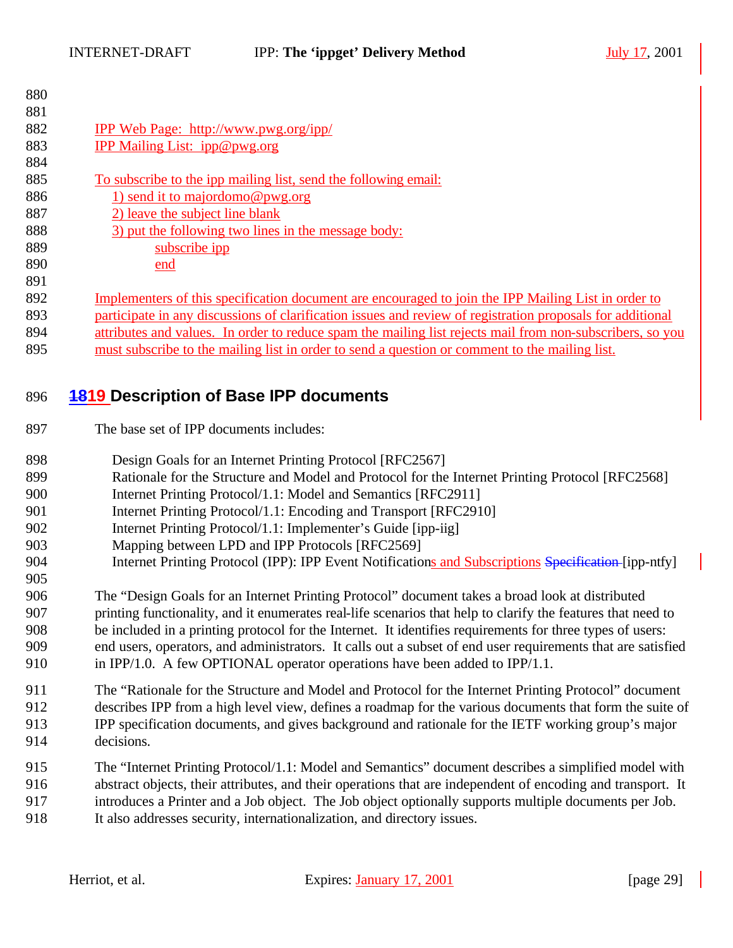| 880 |                                                                                                            |
|-----|------------------------------------------------------------------------------------------------------------|
| 881 |                                                                                                            |
| 882 | <b>IPP Web Page: http://www.pwg.org/ipp/</b>                                                               |
| 883 | IPP Mailing List: ipp@pwg.org                                                                              |
| 884 |                                                                                                            |
| 885 | To subscribe to the ipp mailing list, send the following email:                                            |
| 886 | 1) send it to majordomo@pwg.org                                                                            |
| 887 | 2) leave the subject line blank                                                                            |
| 888 | 3) put the following two lines in the message body:                                                        |
| 889 | subscribe ipp                                                                                              |
| 890 | end                                                                                                        |
| 891 |                                                                                                            |
| 892 | Implementers of this specification document are encouraged to join the IPP Mailing List in order to        |
| 893 | participate in any discussions of clarification issues and review of registration proposals for additional |
| 894 | attributes and values. In order to reduce spam the mailing list rejects mail from non-subscribers, so you  |
| 895 | must subscribe to the mailing list in order to send a question or comment to the mailing list.             |
|     |                                                                                                            |

## **1819 Description of Base IPP documents**

- The base set of IPP documents includes:
- 898 Design Goals for an Internet Printing Protocol [RFC2567]
- Rationale for the Structure and Model and Protocol for the Internet Printing Protocol [RFC2568]
- 900 Internet Printing Protocol/1.1: Model and Semantics [RFC2911]
- 901 Internet Printing Protocol/1.1: Encoding and Transport [RFC2910]
- 902 Internet Printing Protocol/1.1: Implementer's Guide [ipp-iig]
- Mapping between LPD and IPP Protocols [RFC2569]
- 904 Internet Printing Protocol (IPP): IPP Event Notifications and Subscriptions Specification-[ipp-ntfy]

 The "Design Goals for an Internet Printing Protocol" document takes a broad look at distributed printing functionality, and it enumerates real-life scenarios that help to clarify the features that need to be included in a printing protocol for the Internet. It identifies requirements for three types of users: end users, operators, and administrators. It calls out a subset of end user requirements that are satisfied in IPP/1.0. A few OPTIONAL operator operations have been added to IPP/1.1.

The "Rationale for the Structure and Model and Protocol for the Internet Printing Protocol" document

- describes IPP from a high level view, defines a roadmap for the various documents that form the suite of IPP specification documents, and gives background and rationale for the IETF working group's major
- decisions.

 The "Internet Printing Protocol/1.1: Model and Semantics" document describes a simplified model with abstract objects, their attributes, and their operations that are independent of encoding and transport. It introduces a Printer and a Job object. The Job object optionally supports multiple documents per Job. It also addresses security, internationalization, and directory issues.